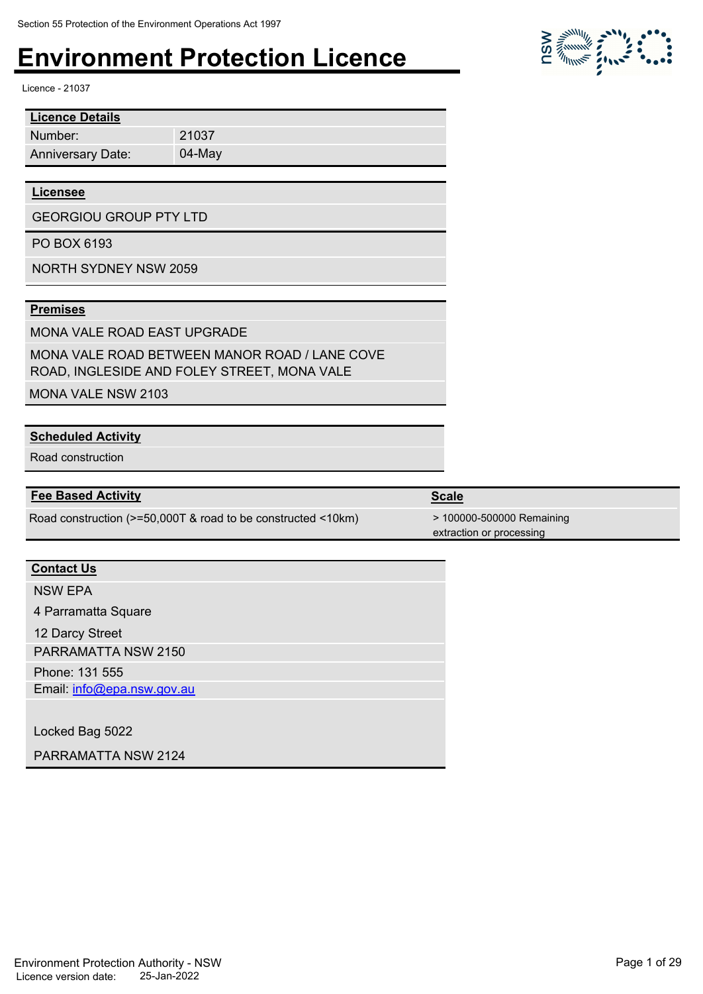Licence - 21037

| <b>Licence Details</b>   |           |
|--------------------------|-----------|
| Number:                  | 21037     |
| <b>Anniversary Date:</b> | $04$ -May |

#### **Licensee**

GEORGIOU GROUP PTY LTD

PO BOX 6193

NORTH SYDNEY NSW 2059

#### **Premises**

MONA VALE ROAD EAST UPGRADE

MONA VALE ROAD BETWEEN MANOR ROAD / LANE COVE ROAD, INGLESIDE AND FOLEY STREET, MONA VALE

MONA VALE NSW 2103

#### **Scheduled Activity**

Road construction

#### **Fee Based Activity Scale**

Road construction (>=50,000T & road to be constructed <10km) > 100000-500000 Remaining

#### **Contact Us**

NSW EPA

4 Parramatta Square

12 Darcy Street

PARRAMATTA NSW 2150

Phone: 131 555

Email: info@epa.nsw.gov.au

Locked Bag 5022

PARRAMATTA NSW 2124

Environment Protection Authority - NSW Page 1 of 29 Licence version date: 25-Jan-2022

| $\frac{1}{2}$ $\frac{1}{2}$ $\frac{1}{2}$ $\frac{1}{2}$ $\frac{1}{2}$ $\frac{1}{2}$ $\frac{1}{2}$ $\frac{1}{2}$ $\frac{1}{2}$ $\frac{1}{2}$ $\frac{1}{2}$ $\frac{1}{2}$ $\frac{1}{2}$ $\frac{1}{2}$ $\frac{1}{2}$ $\frac{1}{2}$ $\frac{1}{2}$ $\frac{1}{2}$ $\frac{1}{2}$ $\frac{1}{2}$ $\frac{1}{2}$ $\frac{1}{2}$ | $\mathcal{L}^{\text{MM}}$ $\mathcal{L}^{\text{MM}}$ |           |
|---------------------------------------------------------------------------------------------------------------------------------------------------------------------------------------------------------------------------------------------------------------------------------------------------------------------|-----------------------------------------------------|-----------|
|                                                                                                                                                                                                                                                                                                                     | $\eta_{\text{Higgs}}$                               | $\bullet$ |

extraction or processing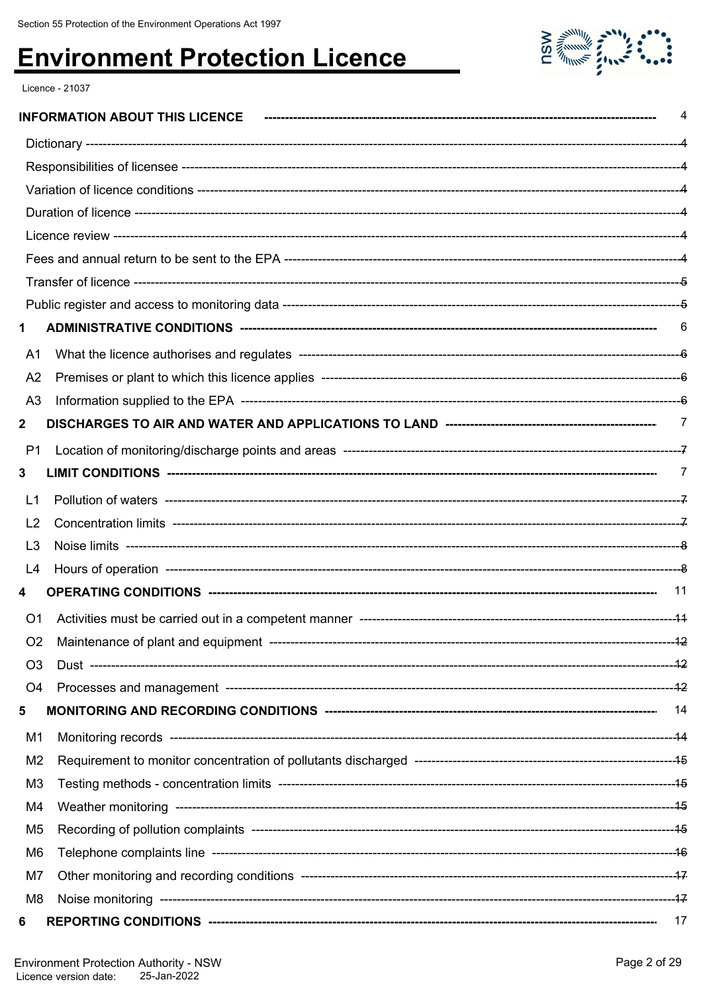

Licence - 21037

|                | 4     |
|----------------|-------|
|                |       |
|                |       |
|                |       |
|                |       |
|                |       |
|                |       |
|                |       |
|                |       |
| 1              | 6     |
| A1             |       |
| A <sub>2</sub> |       |
| A <sub>3</sub> |       |
| $\mathbf{2}$   |       |
| P1             |       |
| 3              |       |
| L1             |       |
| L <sub>2</sub> |       |
| L <sub>3</sub> |       |
| L4             |       |
| 4              | $-11$ |
| O <sub>1</sub> |       |
| O <sub>2</sub> |       |
| O <sub>3</sub> |       |
| O4             |       |
| 5              |       |
| M1             |       |
| M <sub>2</sub> |       |
| M <sub>3</sub> |       |
| M4             |       |
| M <sub>5</sub> |       |
| M <sub>6</sub> |       |
| M7             |       |
| M <sub>8</sub> |       |
| 6              |       |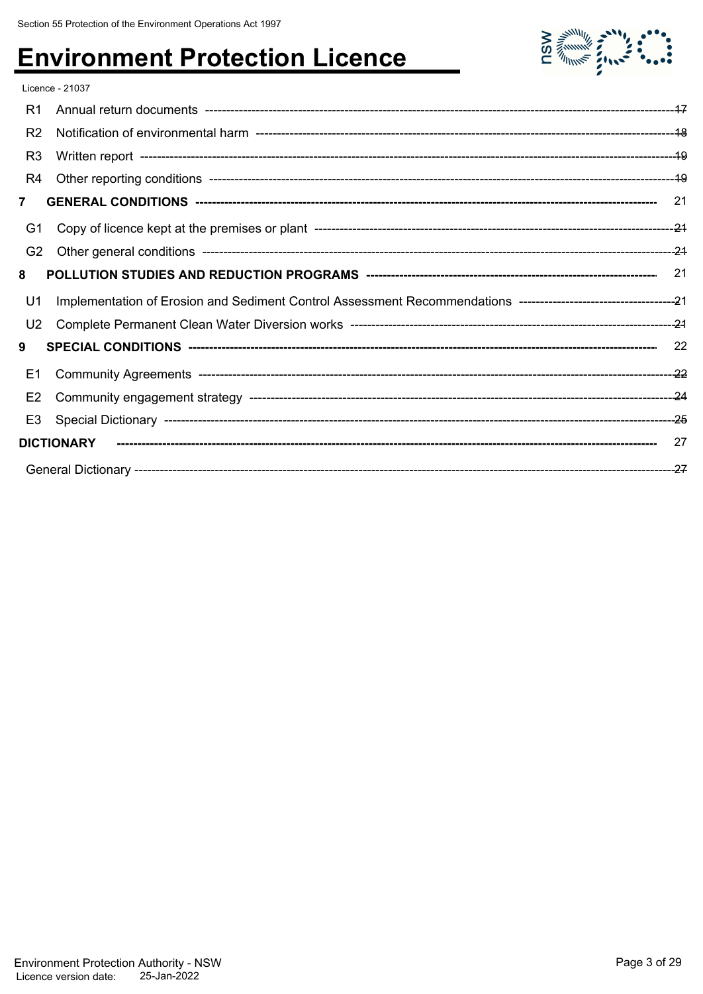

|                | Licence - 21037   |    |
|----------------|-------------------|----|
| R1             |                   |    |
| R <sub>2</sub> |                   |    |
| R <sub>3</sub> |                   |    |
| R <sub>4</sub> |                   |    |
| $\overline{7}$ |                   |    |
| G1             |                   |    |
| G <sub>2</sub> |                   |    |
| 8              |                   |    |
|                |                   |    |
| U1             |                   |    |
| U <sub>2</sub> |                   |    |
| 9              |                   |    |
| E1             |                   |    |
| E <sub>2</sub> |                   |    |
| E3             |                   |    |
|                | <b>DICTIONARY</b> | 27 |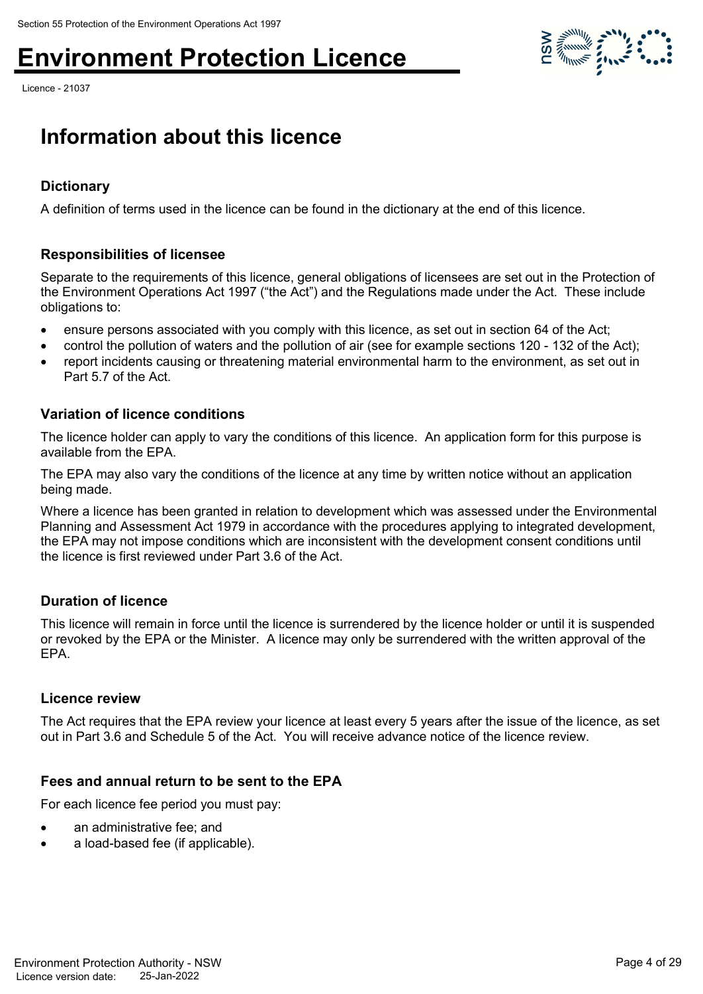Licence - 21037



### **Information about this licence**

#### **Dictionary**

A definition of terms used in the licence can be found in the dictionary at the end of this licence.

#### **Responsibilities of licensee**

Separate to the requirements of this licence, general obligations of licensees are set out in the Protection of the Environment Operations Act 1997 ("the Act") and the Regulations made under the Act. These include obligations to:

- ensure persons associated with you comply with this licence, as set out in section 64 of the Act;
- control the pollution of waters and the pollution of air (see for example sections 120 132 of the Act);
- report incidents causing or threatening material environmental harm to the environment, as set out in Part 5.7 of the Act.

#### **Variation of licence conditions**

The licence holder can apply to vary the conditions of this licence. An application form for this purpose is available from the EPA.

The EPA may also vary the conditions of the licence at any time by written notice without an application being made.

Where a licence has been granted in relation to development which was assessed under the Environmental Planning and Assessment Act 1979 in accordance with the procedures applying to integrated development, the EPA may not impose conditions which are inconsistent with the development consent conditions until the licence is first reviewed under Part 3.6 of the Act.

#### **Duration of licence**

This licence will remain in force until the licence is surrendered by the licence holder or until it is suspended or revoked by the EPA or the Minister. A licence may only be surrendered with the written approval of the EPA.

#### **Licence review**

The Act requires that the EPA review your licence at least every 5 years after the issue of the licence, as set out in Part 3.6 and Schedule 5 of the Act. You will receive advance notice of the licence review.

#### **Fees and annual return to be sent to the EPA**

For each licence fee period you must pay:

- an administrative fee; and
- a load-based fee (if applicable).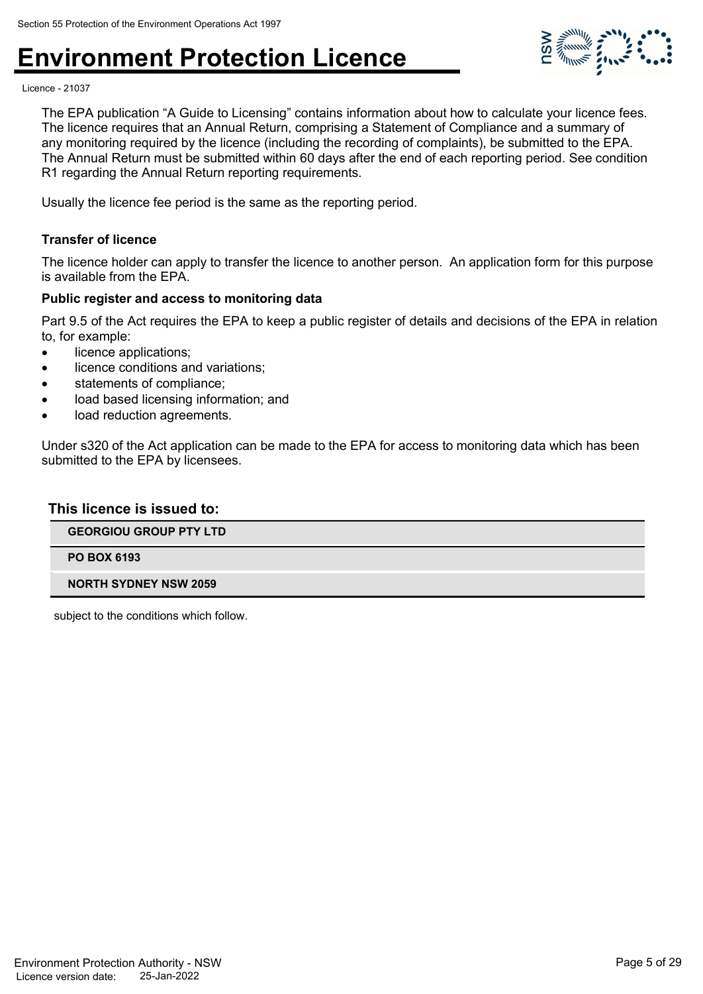

Licence - 21037

The EPA publication "A Guide to Licensing" contains information about how to calculate your licence fees. The licence requires that an Annual Return, comprising a Statement of Compliance and a summary of any monitoring required by the licence (including the recording of complaints), be submitted to the EPA. The Annual Return must be submitted within 60 days after the end of each reporting period. See condition R1 regarding the Annual Return reporting requirements.

Usually the licence fee period is the same as the reporting period.

#### **Transfer of licence**

The licence holder can apply to transfer the licence to another person. An application form for this purpose is available from the EPA.

#### **Public register and access to monitoring data**

Part 9.5 of the Act requires the EPA to keep a public register of details and decisions of the EPA in relation to, for example:

- licence applications:
- licence conditions and variations;
- statements of compliance;
- load based licensing information; and
- load reduction agreements.

Under s320 of the Act application can be made to the EPA for access to monitoring data which has been submitted to the EPA by licensees.

#### **This licence is issued to:**

**GEORGIOU GROUP PTY LTD**

**PO BOX 6193**

#### **NORTH SYDNEY NSW 2059**

subject to the conditions which follow.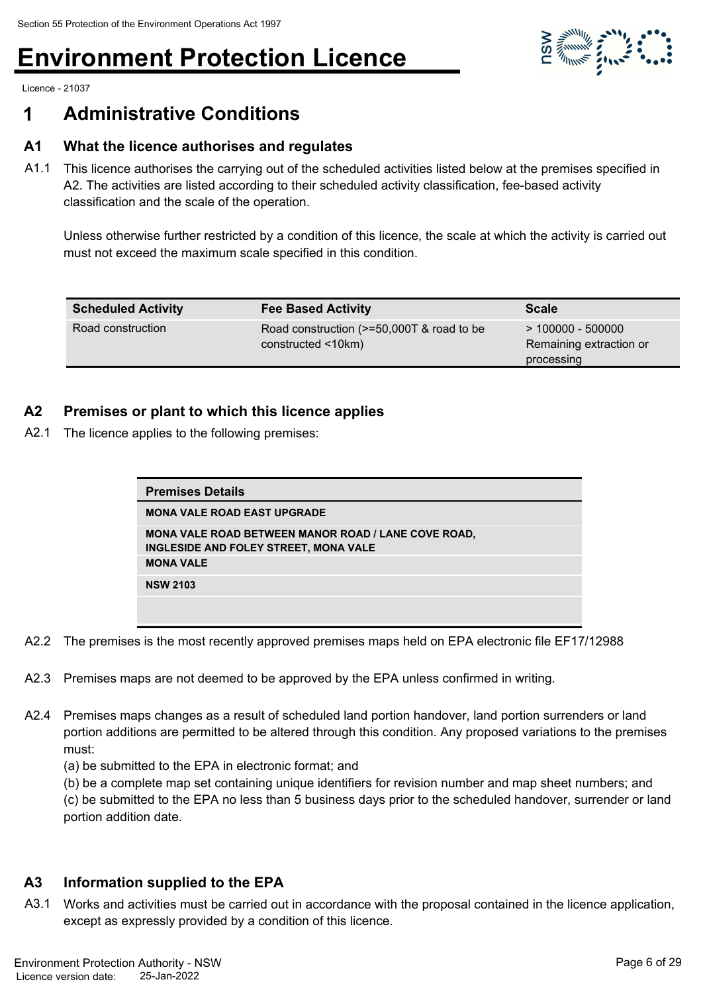

Licence - 21037

### **1 Administrative Conditions**

#### **A1 What the licence authorises and regulates**

A1.1 This licence authorises the carrying out of the scheduled activities listed below at the premises specified in A2. The activities are listed according to their scheduled activity classification, fee-based activity classification and the scale of the operation.

Unless otherwise further restricted by a condition of this licence, the scale at which the activity is carried out must not exceed the maximum scale specified in this condition.

| <b>Scheduled Activity</b> | <b>Fee Based Activity</b>                                           | <b>Scale</b>                                                 |
|---------------------------|---------------------------------------------------------------------|--------------------------------------------------------------|
| Road construction         | Road construction (>=50,000T & road to be<br>$constructed < 10km$ ) | $> 100000 - 500000$<br>Remaining extraction or<br>processing |

#### **A2 Premises or plant to which this licence applies**

A2.1 The licence applies to the following premises:

| <b>Premises Details</b>                                                                             |
|-----------------------------------------------------------------------------------------------------|
| <b>MONA VALE ROAD EAST UPGRADE</b>                                                                  |
| <b>MONA VALE ROAD BETWEEN MANOR ROAD / LANE COVE ROAD.</b><br>INGLESIDE AND FOLEY STREET, MONA VALE |
| <b>MONA VALE</b>                                                                                    |
| <b>NSW 2103</b>                                                                                     |
|                                                                                                     |

- A2.2 The premises is the most recently approved premises maps held on EPA electronic file EF17/12988
- A2.3 Premises maps are not deemed to be approved by the EPA unless confirmed in writing.
- A2.4 Premises maps changes as a result of scheduled land portion handover, land portion surrenders or land portion additions are permitted to be altered through this condition. Any proposed variations to the premises must:
	- (a) be submitted to the EPA in electronic format; and
	- (b) be a complete map set containing unique identifiers for revision number and map sheet numbers; and
	- (c) be submitted to the EPA no less than 5 business days prior to the scheduled handover, surrender or land portion addition date.

#### **A3 Information supplied to the EPA**

A3.1 Works and activities must be carried out in accordance with the proposal contained in the licence application, except as expressly provided by a condition of this licence.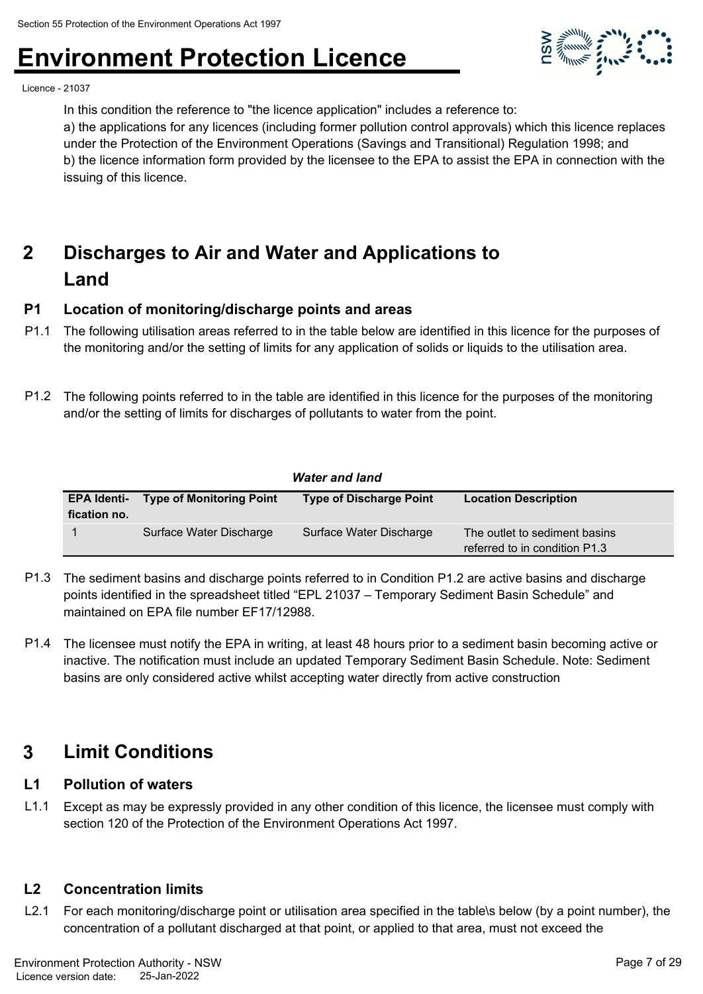

Licence - 21037

In this condition the reference to "the licence application" includes a reference to:

a) the applications for any licences (including former pollution control approvals) which this licence replaces under the Protection of the Environment Operations (Savings and Transitional) Regulation 1998; and b) the licence information form provided by the licensee to the EPA to assist the EPA in connection with the issuing of this licence.

#### **Discharges to Air and Water and Applications to Land 2**

#### **P1 Location of monitoring/discharge points and areas**

- P1.1 The following utilisation areas referred to in the table below are identified in this licence for the purposes of the monitoring and/or the setting of limits for any application of solids or liquids to the utilisation area.
- P1.2 The following points referred to in the table are identified in this licence for the purposes of the monitoring and/or the setting of limits for discharges of pollutants to water from the point.

|              |                                             | <b>Water and land</b>          |                                                                |
|--------------|---------------------------------------------|--------------------------------|----------------------------------------------------------------|
| fication no. | <b>EPA Identi- Type of Monitoring Point</b> | <b>Type of Discharge Point</b> | <b>Location Description</b>                                    |
|              | Surface Water Discharge                     | Surface Water Discharge        | The outlet to sediment basins<br>referred to in condition P1.3 |

- P1.3 The sediment basins and discharge points referred to in Condition P1.2 are active basins and discharge points identified in the spreadsheet titled "EPL 21037 – Temporary Sediment Basin Schedule" and maintained on EPA file number EF17/12988.
- P1.4 The licensee must notify the EPA in writing, at least 48 hours prior to a sediment basin becoming active or inactive. The notification must include an updated Temporary Sediment Basin Schedule. Note: Sediment basins are only considered active whilst accepting water directly from active construction

### **3 Limit Conditions**

#### **L1 Pollution of waters**

L1.1 Except as may be expressly provided in any other condition of this licence, the licensee must comply with section 120 of the Protection of the Environment Operations Act 1997.

#### **L2 Concentration limits**

L2.1 For each monitoring/discharge point or utilisation area specified in the table\s below (by a point number), the concentration of a pollutant discharged at that point, or applied to that area, must not exceed the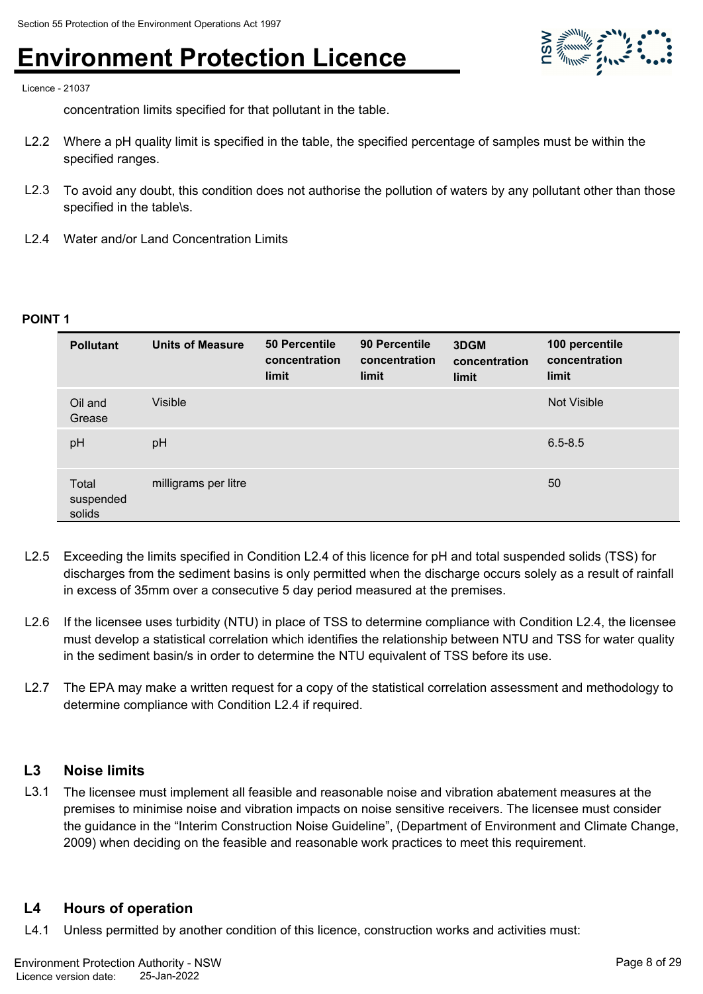

Licence - 21037

concentration limits specified for that pollutant in the table.

- L2.2 Where a pH quality limit is specified in the table, the specified percentage of samples must be within the specified ranges.
- L2.3 To avoid any doubt, this condition does not authorise the pollution of waters by any pollutant other than those specified in the table\s.
- L2.4 Water and/or Land Concentration Limits

#### **POINT 1**

| <b>Pollutant</b>             | <b>Units of Measure</b> | 50 Percentile<br>concentration<br>limit | 90 Percentile<br>concentration<br>limit | 3DGM<br>concentration<br>limit | 100 percentile<br>concentration<br>limit |
|------------------------------|-------------------------|-----------------------------------------|-----------------------------------------|--------------------------------|------------------------------------------|
| Oil and<br>Grease            | <b>Visible</b>          |                                         |                                         |                                | <b>Not Visible</b>                       |
| pH                           | pH                      |                                         |                                         |                                | $6.5 - 8.5$                              |
| Total<br>suspended<br>solids | milligrams per litre    |                                         |                                         |                                | 50                                       |

- L2.5 Exceeding the limits specified in Condition L2.4 of this licence for pH and total suspended solids (TSS) for discharges from the sediment basins is only permitted when the discharge occurs solely as a result of rainfall in excess of 35mm over a consecutive 5 day period measured at the premises.
- L2.6 If the licensee uses turbidity (NTU) in place of TSS to determine compliance with Condition L2.4, the licensee must develop a statistical correlation which identifies the relationship between NTU and TSS for water quality in the sediment basin/s in order to determine the NTU equivalent of TSS before its use.
- L2.7 The EPA may make a written request for a copy of the statistical correlation assessment and methodology to determine compliance with Condition L2.4 if required.

#### **L3 Noise limits**

L3.1 The licensee must implement all feasible and reasonable noise and vibration abatement measures at the premises to minimise noise and vibration impacts on noise sensitive receivers. The licensee must consider the guidance in the "Interim Construction Noise Guideline", (Department of Environment and Climate Change, 2009) when deciding on the feasible and reasonable work practices to meet this requirement.

#### **L4 Hours of operation**

L4.1 Unless permitted by another condition of this licence, construction works and activities must: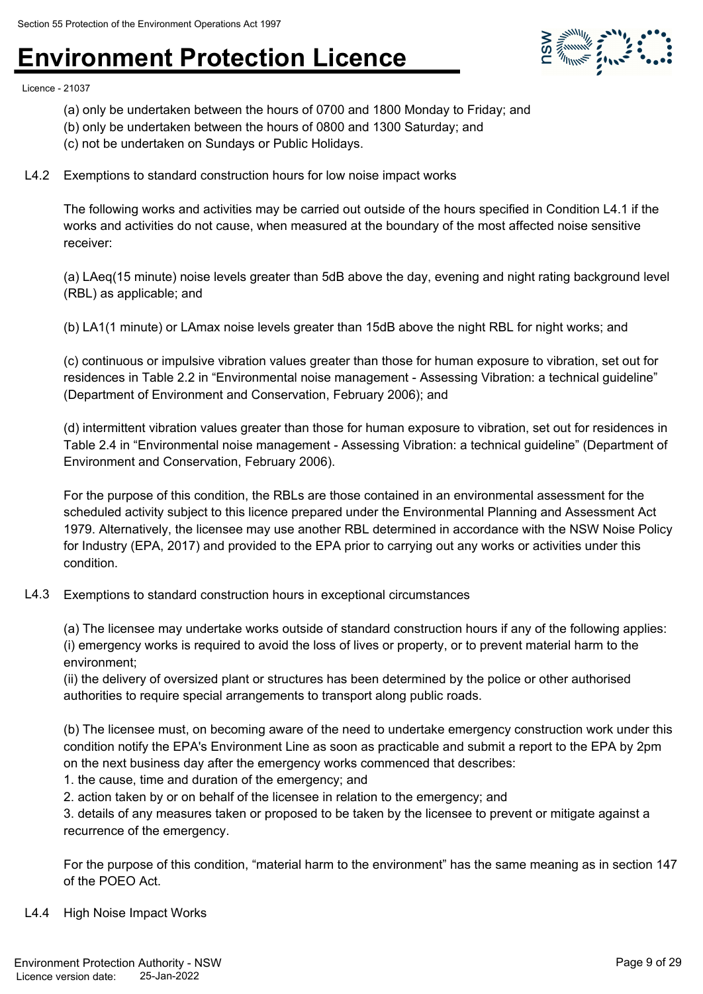

Licence - 21037

- (a) only be undertaken between the hours of 0700 and 1800 Monday to Friday; and
- (b) only be undertaken between the hours of 0800 and 1300 Saturday; and
- (c) not be undertaken on Sundays or Public Holidays.
- L4.2 Exemptions to standard construction hours for low noise impact works

The following works and activities may be carried out outside of the hours specified in Condition L4.1 if the works and activities do not cause, when measured at the boundary of the most affected noise sensitive receiver:

(a) LAeq(15 minute) noise levels greater than 5dB above the day, evening and night rating background level (RBL) as applicable; and

(b) LA1(1 minute) or LAmax noise levels greater than 15dB above the night RBL for night works; and

(c) continuous or impulsive vibration values greater than those for human exposure to vibration, set out for residences in Table 2.2 in "Environmental noise management - Assessing Vibration: a technical guideline" (Department of Environment and Conservation, February 2006); and

(d) intermittent vibration values greater than those for human exposure to vibration, set out for residences in Table 2.4 in "Environmental noise management - Assessing Vibration: a technical guideline" (Department of Environment and Conservation, February 2006).

For the purpose of this condition, the RBLs are those contained in an environmental assessment for the scheduled activity subject to this licence prepared under the Environmental Planning and Assessment Act 1979. Alternatively, the licensee may use another RBL determined in accordance with the NSW Noise Policy for Industry (EPA, 2017) and provided to the EPA prior to carrying out any works or activities under this condition.

L4.3 Exemptions to standard construction hours in exceptional circumstances

(a) The licensee may undertake works outside of standard construction hours if any of the following applies: (i) emergency works is required to avoid the loss of lives or property, or to prevent material harm to the environment;

(ii) the delivery of oversized plant or structures has been determined by the police or other authorised authorities to require special arrangements to transport along public roads.

(b) The licensee must, on becoming aware of the need to undertake emergency construction work under this condition notify the EPA's Environment Line as soon as practicable and submit a report to the EPA by 2pm on the next business day after the emergency works commenced that describes:

1. the cause, time and duration of the emergency; and

2. action taken by or on behalf of the licensee in relation to the emergency; and

3. details of any measures taken or proposed to be taken by the licensee to prevent or mitigate against a recurrence of the emergency.

For the purpose of this condition, "material harm to the environment" has the same meaning as in section 147 of the POEO Act.

#### L4.4 High Noise Impact Works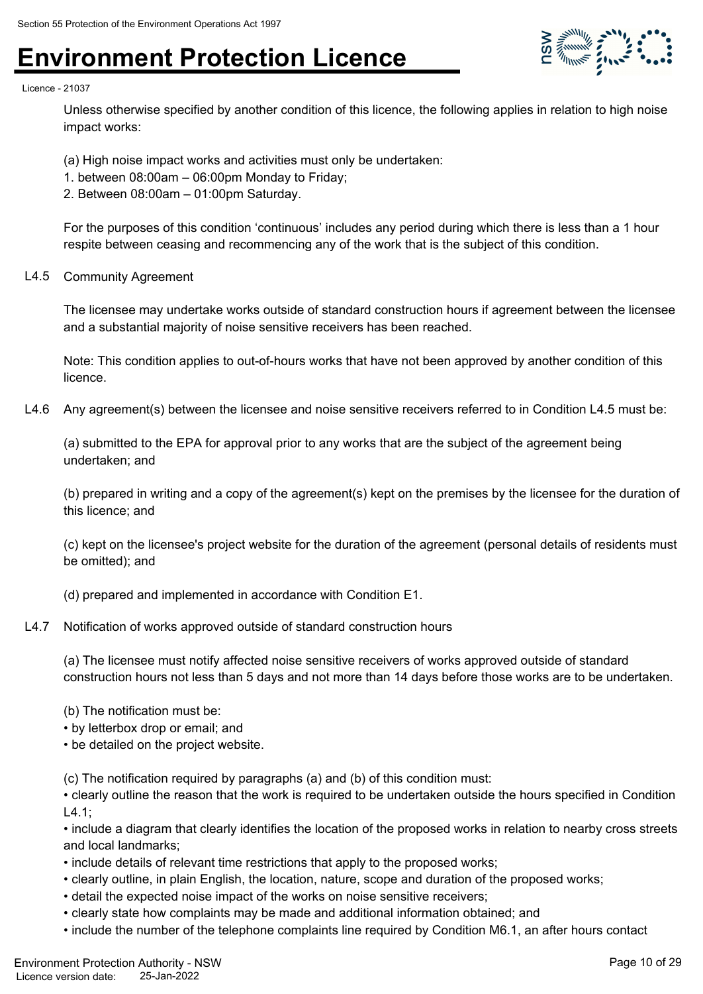

#### Licence - 21037

Unless otherwise specified by another condition of this licence, the following applies in relation to high noise impact works:

- (a) High noise impact works and activities must only be undertaken:
- 1. between 08:00am 06:00pm Monday to Friday;
- 2. Between 08:00am 01:00pm Saturday.

For the purposes of this condition 'continuous' includes any period during which there is less than a 1 hour respite between ceasing and recommencing any of the work that is the subject of this condition.

#### L4.5 Community Agreement

The licensee may undertake works outside of standard construction hours if agreement between the licensee and a substantial majority of noise sensitive receivers has been reached.

Note: This condition applies to out-of-hours works that have not been approved by another condition of this licence.

L4.6 Any agreement(s) between the licensee and noise sensitive receivers referred to in Condition L4.5 must be:

(a) submitted to the EPA for approval prior to any works that are the subject of the agreement being undertaken; and

(b) prepared in writing and a copy of the agreement(s) kept on the premises by the licensee for the duration of this licence; and

(c) kept on the licensee's project website for the duration of the agreement (personal details of residents must be omitted); and

(d) prepared and implemented in accordance with Condition E1.

#### L4.7 Notification of works approved outside of standard construction hours

(a) The licensee must notify affected noise sensitive receivers of works approved outside of standard construction hours not less than 5 days and not more than 14 days before those works are to be undertaken.

- (b) The notification must be:
- by letterbox drop or email; and
- be detailed on the project website.

(c) The notification required by paragraphs (a) and (b) of this condition must:

• clearly outline the reason that the work is required to be undertaken outside the hours specified in Condition  $L4.1$ ;

• include a diagram that clearly identifies the location of the proposed works in relation to nearby cross streets and local landmarks;

- include details of relevant time restrictions that apply to the proposed works;
- clearly outline, in plain English, the location, nature, scope and duration of the proposed works;
- detail the expected noise impact of the works on noise sensitive receivers;
- clearly state how complaints may be made and additional information obtained; and
- include the number of the telephone complaints line required by Condition M6.1, an after hours contact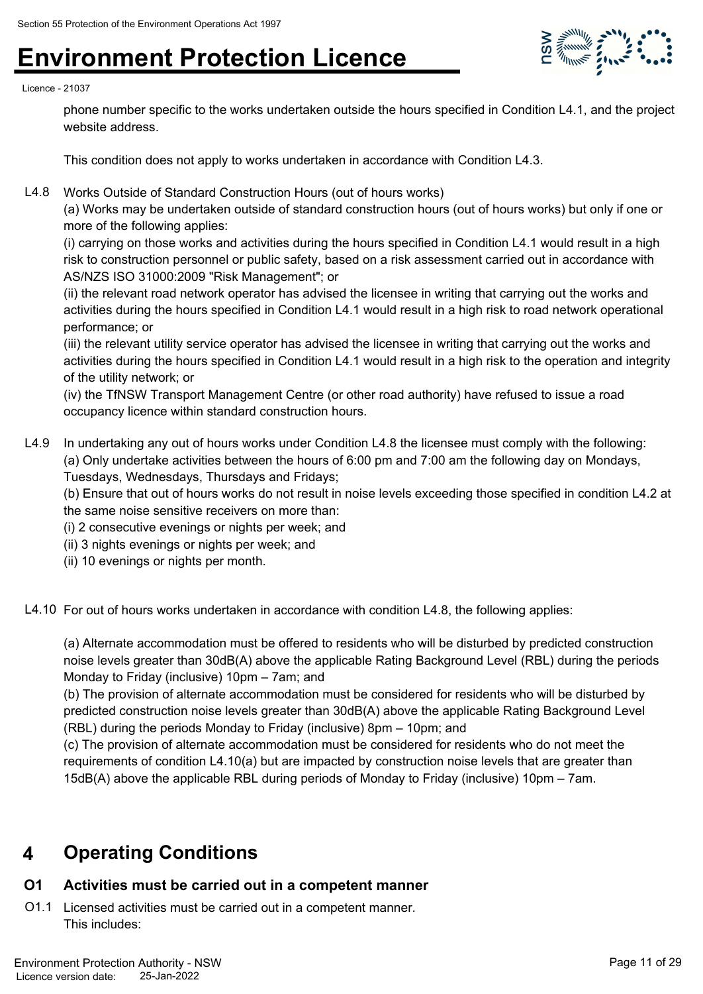

#### Licence - 21037

phone number specific to the works undertaken outside the hours specified in Condition L4.1, and the project website address.

This condition does not apply to works undertaken in accordance with Condition L4.3.

L4.8 Works Outside of Standard Construction Hours (out of hours works)

(a) Works may be undertaken outside of standard construction hours (out of hours works) but only if one or more of the following applies:

(i) carrying on those works and activities during the hours specified in Condition L4.1 would result in a high risk to construction personnel or public safety, based on a risk assessment carried out in accordance with AS/NZS ISO 31000:2009 "Risk Management"; or

(ii) the relevant road network operator has advised the licensee in writing that carrying out the works and activities during the hours specified in Condition L4.1 would result in a high risk to road network operational performance; or

(iii) the relevant utility service operator has advised the licensee in writing that carrying out the works and activities during the hours specified in Condition L4.1 would result in a high risk to the operation and integrity of the utility network; or

(iv) the TfNSW Transport Management Centre (or other road authority) have refused to issue a road occupancy licence within standard construction hours.

L4.9 In undertaking any out of hours works under Condition L4.8 the licensee must comply with the following: (a) Only undertake activities between the hours of 6:00 pm and 7:00 am the following day on Mondays, Tuesdays, Wednesdays, Thursdays and Fridays;

(b) Ensure that out of hours works do not result in noise levels exceeding those specified in condition L4.2 at the same noise sensitive receivers on more than:

(i) 2 consecutive evenings or nights per week; and

- (ii) 3 nights evenings or nights per week; and
- (ii) 10 evenings or nights per month.

L4.10 For out of hours works undertaken in accordance with condition L4.8, the following applies:

(a) Alternate accommodation must be offered to residents who will be disturbed by predicted construction noise levels greater than 30dB(A) above the applicable Rating Background Level (RBL) during the periods Monday to Friday (inclusive) 10pm – 7am; and

(b) The provision of alternate accommodation must be considered for residents who will be disturbed by predicted construction noise levels greater than 30dB(A) above the applicable Rating Background Level (RBL) during the periods Monday to Friday (inclusive) 8pm – 10pm; and

(c) The provision of alternate accommodation must be considered for residents who do not meet the requirements of condition L4.10(a) but are impacted by construction noise levels that are greater than 15dB(A) above the applicable RBL during periods of Monday to Friday (inclusive) 10pm – 7am.

### **4 Operating Conditions**

#### **O1 Activities must be carried out in a competent manner**

O1.1 Licensed activities must be carried out in a competent manner. This includes: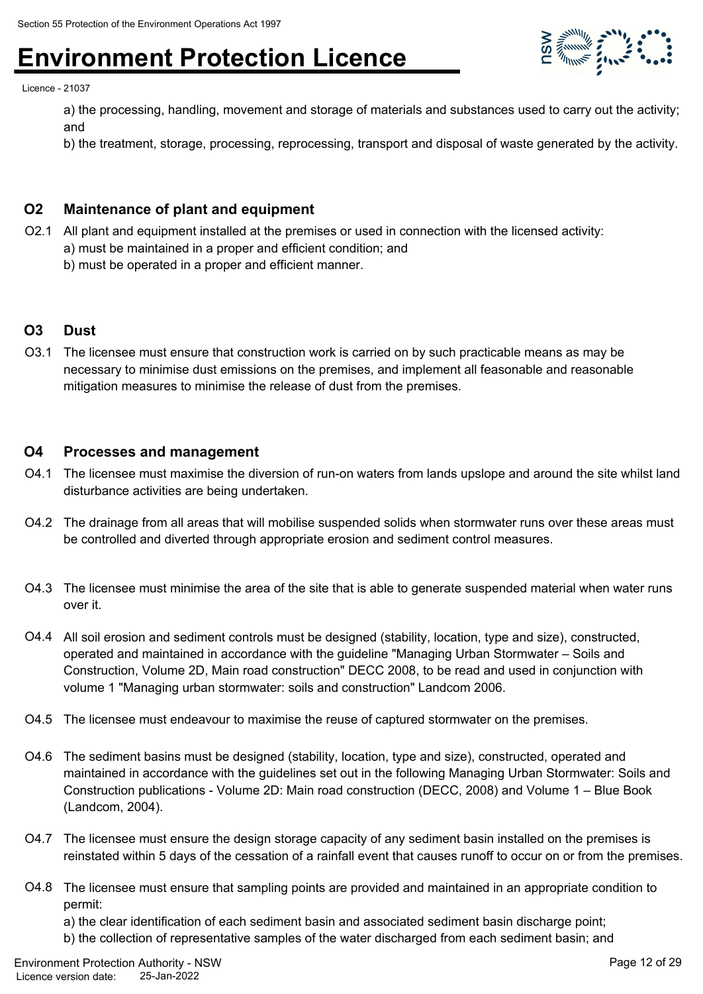

Licence - 21037

a) the processing, handling, movement and storage of materials and substances used to carry out the activity; and

b) the treatment, storage, processing, reprocessing, transport and disposal of waste generated by the activity.

#### **O2 Maintenance of plant and equipment**

- O2.1 All plant and equipment installed at the premises or used in connection with the licensed activity:
	- a) must be maintained in a proper and efficient condition; and
	- b) must be operated in a proper and efficient manner.

#### **O3 Dust**

O3.1 The licensee must ensure that construction work is carried on by such practicable means as may be necessary to minimise dust emissions on the premises, and implement all feasonable and reasonable mitigation measures to minimise the release of dust from the premises.

#### **O4 Processes and management**

- O4.1 The licensee must maximise the diversion of run-on waters from lands upslope and around the site whilst land disturbance activities are being undertaken.
- O4.2 The drainage from all areas that will mobilise suspended solids when stormwater runs over these areas must be controlled and diverted through appropriate erosion and sediment control measures.
- O4.3 The licensee must minimise the area of the site that is able to generate suspended material when water runs over it.
- O4.4 All soil erosion and sediment controls must be designed (stability, location, type and size), constructed, operated and maintained in accordance with the guideline "Managing Urban Stormwater – Soils and Construction, Volume 2D, Main road construction" DECC 2008, to be read and used in conjunction with volume 1 "Managing urban stormwater: soils and construction" Landcom 2006.
- O4.5 The licensee must endeavour to maximise the reuse of captured stormwater on the premises.
- O4.6 The sediment basins must be designed (stability, location, type and size), constructed, operated and maintained in accordance with the guidelines set out in the following Managing Urban Stormwater: Soils and Construction publications - Volume 2D: Main road construction (DECC, 2008) and Volume 1 – Blue Book (Landcom, 2004).
- O4.7 The licensee must ensure the design storage capacity of any sediment basin installed on the premises is reinstated within 5 days of the cessation of a rainfall event that causes runoff to occur on or from the premises.
- O4.8 The licensee must ensure that sampling points are provided and maintained in an appropriate condition to permit:

a) the clear identification of each sediment basin and associated sediment basin discharge point;

b) the collection of representative samples of the water discharged from each sediment basin; and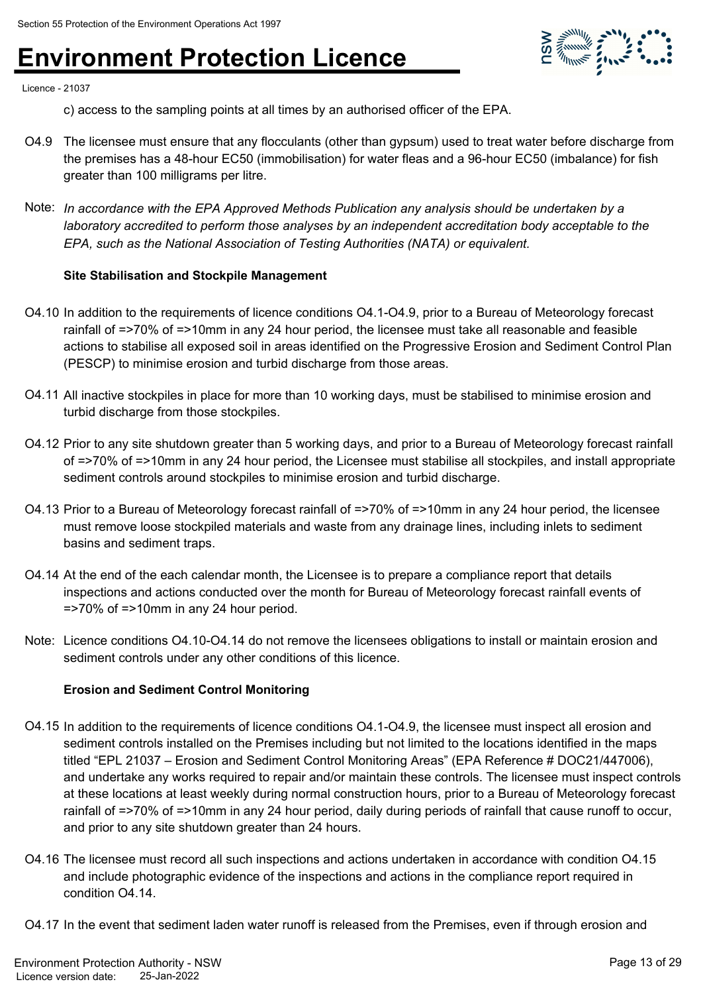

Licence - 21037

c) access to the sampling points at all times by an authorised officer of the EPA.

- O4.9 The licensee must ensure that any flocculants (other than gypsum) used to treat water before discharge from the premises has a 48-hour EC50 (immobilisation) for water fleas and a 96-hour EC50 (imbalance) for fish greater than 100 milligrams per litre.
- Note: *In accordance with the EPA Approved Methods Publication any analysis should be undertaken by a laboratory accredited to perform those analyses by an independent accreditation body acceptable to the EPA, such as the National Association of Testing Authorities (NATA) or equivalent.*

#### **Site Stabilisation and Stockpile Management**

- O4.10 In addition to the requirements of licence conditions O4.1-O4.9, prior to a Bureau of Meteorology forecast rainfall of =>70% of =>10mm in any 24 hour period, the licensee must take all reasonable and feasible actions to stabilise all exposed soil in areas identified on the Progressive Erosion and Sediment Control Plan (PESCP) to minimise erosion and turbid discharge from those areas.
- O4.11 All inactive stockpiles in place for more than 10 working days, must be stabilised to minimise erosion and turbid discharge from those stockpiles.
- O4.12 Prior to any site shutdown greater than 5 working days, and prior to a Bureau of Meteorology forecast rainfall of =>70% of =>10mm in any 24 hour period, the Licensee must stabilise all stockpiles, and install appropriate sediment controls around stockpiles to minimise erosion and turbid discharge.
- O4.13 Prior to a Bureau of Meteorology forecast rainfall of =>70% of =>10mm in any 24 hour period, the licensee must remove loose stockpiled materials and waste from any drainage lines, including inlets to sediment basins and sediment traps.
- O4.14 At the end of the each calendar month, the Licensee is to prepare a compliance report that details inspections and actions conducted over the month for Bureau of Meteorology forecast rainfall events of =>70% of =>10mm in any 24 hour period.
- Note: Licence conditions O4.10-O4.14 do not remove the licensees obligations to install or maintain erosion and sediment controls under any other conditions of this licence.

#### **Erosion and Sediment Control Monitoring**

- O4.15 In addition to the requirements of licence conditions O4.1-O4.9, the licensee must inspect all erosion and sediment controls installed on the Premises including but not limited to the locations identified in the maps titled "EPL 21037 – Erosion and Sediment Control Monitoring Areas" (EPA Reference # DOC21/447006), and undertake any works required to repair and/or maintain these controls. The licensee must inspect controls at these locations at least weekly during normal construction hours, prior to a Bureau of Meteorology forecast rainfall of =>70% of =>10mm in any 24 hour period, daily during periods of rainfall that cause runoff to occur, and prior to any site shutdown greater than 24 hours.
- O4.16 The licensee must record all such inspections and actions undertaken in accordance with condition O4.15 and include photographic evidence of the inspections and actions in the compliance report required in condition O4.14.

O4.17 In the event that sediment laden water runoff is released from the Premises, even if through erosion and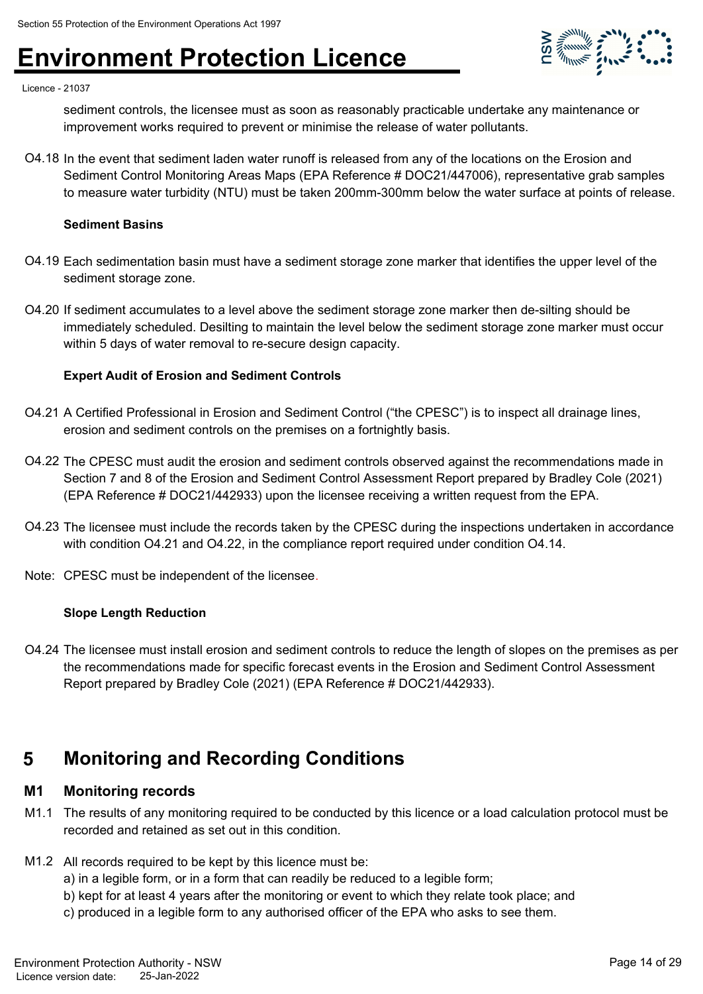

#### Licence - 21037

sediment controls, the licensee must as soon as reasonably practicable undertake any maintenance or improvement works required to prevent or minimise the release of water pollutants.

O4.18 In the event that sediment laden water runoff is released from any of the locations on the Erosion and Sediment Control Monitoring Areas Maps (EPA Reference # DOC21/447006), representative grab samples to measure water turbidity (NTU) must be taken 200mm-300mm below the water surface at points of release.

#### **Sediment Basins**

- O4.19 Each sedimentation basin must have a sediment storage zone marker that identifies the upper level of the sediment storage zone.
- O4.20 If sediment accumulates to a level above the sediment storage zone marker then de-silting should be immediately scheduled. Desilting to maintain the level below the sediment storage zone marker must occur within 5 days of water removal to re-secure design capacity.

#### **Expert Audit of Erosion and Sediment Controls**

- O4.21 A Certified Professional in Erosion and Sediment Control ("the CPESC") is to inspect all drainage lines, erosion and sediment controls on the premises on a fortnightly basis.
- O4.22 The CPESC must audit the erosion and sediment controls observed against the recommendations made in Section 7 and 8 of the Erosion and Sediment Control Assessment Report prepared by Bradley Cole (2021) (EPA Reference # DOC21/442933) upon the licensee receiving a written request from the EPA.
- O4.23 The licensee must include the records taken by the CPESC during the inspections undertaken in accordance with condition O4.21 and O4.22, in the compliance report required under condition O4.14.
- Note: CPESC must be independent of the licensee.

#### **Slope Length Reduction**

O4.24 The licensee must install erosion and sediment controls to reduce the length of slopes on the premises as per the recommendations made for specific forecast events in the Erosion and Sediment Control Assessment Report prepared by Bradley Cole (2021) (EPA Reference # DOC21/442933).

### **5 Monitoring and Recording Conditions**

#### **M1 Monitoring records**

- M1.1 The results of any monitoring required to be conducted by this licence or a load calculation protocol must be recorded and retained as set out in this condition.
- M1.2 All records required to be kept by this licence must be:
	- a) in a legible form, or in a form that can readily be reduced to a legible form;
	- b) kept for at least 4 years after the monitoring or event to which they relate took place; and
	- c) produced in a legible form to any authorised officer of the EPA who asks to see them.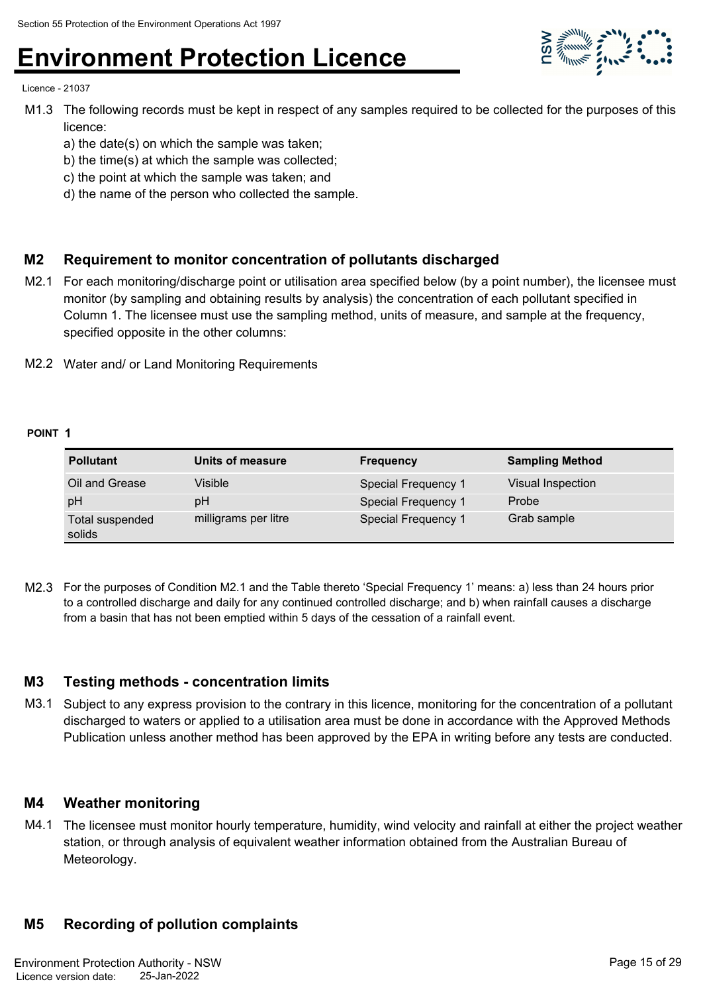

Licence - 21037

- M1.3 The following records must be kept in respect of any samples required to be collected for the purposes of this licence:
	- a) the date(s) on which the sample was taken;
	- b) the time(s) at which the sample was collected;
	- c) the point at which the sample was taken; and
	- d) the name of the person who collected the sample.

#### **M2 Requirement to monitor concentration of pollutants discharged**

- M2.1 For each monitoring/discharge point or utilisation area specified below (by a point number), the licensee must monitor (by sampling and obtaining results by analysis) the concentration of each pollutant specified in Column 1. The licensee must use the sampling method, units of measure, and sample at the frequency, specified opposite in the other columns:
- M2.2 Water and/ or Land Monitoring Requirements

#### **POINT 1**

| <b>Pollutant</b>          | Units of measure     | <b>Frequency</b>    | <b>Sampling Method</b> |
|---------------------------|----------------------|---------------------|------------------------|
| Oil and Grease            | Visible              | Special Frequency 1 | Visual Inspection      |
| pH                        | рH                   | Special Frequency 1 | Probe                  |
| Total suspended<br>solids | milligrams per litre | Special Frequency 1 | Grab sample            |

M2.3 For the purposes of Condition M2.1 and the Table thereto 'Special Frequency 1' means: a) less than 24 hours prior to a controlled discharge and daily for any continued controlled discharge; and b) when rainfall causes a discharge from a basin that has not been emptied within 5 days of the cessation of a rainfall event.

#### **M3 Testing methods - concentration limits**

M3.1 Subject to any express provision to the contrary in this licence, monitoring for the concentration of a pollutant discharged to waters or applied to a utilisation area must be done in accordance with the Approved Methods Publication unless another method has been approved by the EPA in writing before any tests are conducted.

#### **M4 Weather monitoring**

M4.1 The licensee must monitor hourly temperature, humidity, wind velocity and rainfall at either the project weather station, or through analysis of equivalent weather information obtained from the Australian Bureau of Meteorology.

#### **M5 Recording of pollution complaints**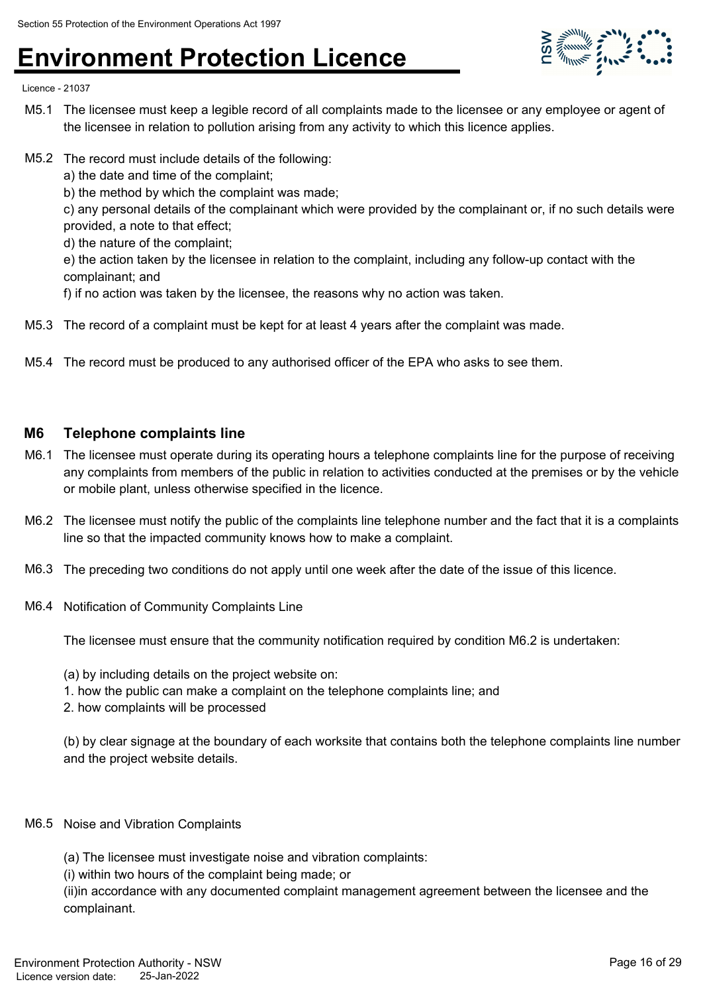

Licence - 21037

- M5.1 The licensee must keep a legible record of all complaints made to the licensee or any employee or agent of the licensee in relation to pollution arising from any activity to which this licence applies.
- M5.2 The record must include details of the following:

a) the date and time of the complaint;

b) the method by which the complaint was made;

c) any personal details of the complainant which were provided by the complainant or, if no such details were provided, a note to that effect;

d) the nature of the complaint;

e) the action taken by the licensee in relation to the complaint, including any follow-up contact with the complainant; and

f) if no action was taken by the licensee, the reasons why no action was taken.

- M5.3 The record of a complaint must be kept for at least 4 years after the complaint was made.
- M5.4 The record must be produced to any authorised officer of the EPA who asks to see them.

#### **M6 Telephone complaints line**

- M6.1 The licensee must operate during its operating hours a telephone complaints line for the purpose of receiving any complaints from members of the public in relation to activities conducted at the premises or by the vehicle or mobile plant, unless otherwise specified in the licence.
- M6.2 The licensee must notify the public of the complaints line telephone number and the fact that it is a complaints line so that the impacted community knows how to make a complaint.
- M6.3 The preceding two conditions do not apply until one week after the date of the issue of this licence.
- M6.4 Notification of Community Complaints Line

The licensee must ensure that the community notification required by condition M6.2 is undertaken:

- (a) by including details on the project website on:
- 1. how the public can make a complaint on the telephone complaints line; and
- 2. how complaints will be processed

(b) by clear signage at the boundary of each worksite that contains both the telephone complaints line number and the project website details.

#### M6.5 Noise and Vibration Complaints

(a) The licensee must investigate noise and vibration complaints:

(i) within two hours of the complaint being made; or

(ii)in accordance with any documented complaint management agreement between the licensee and the complainant.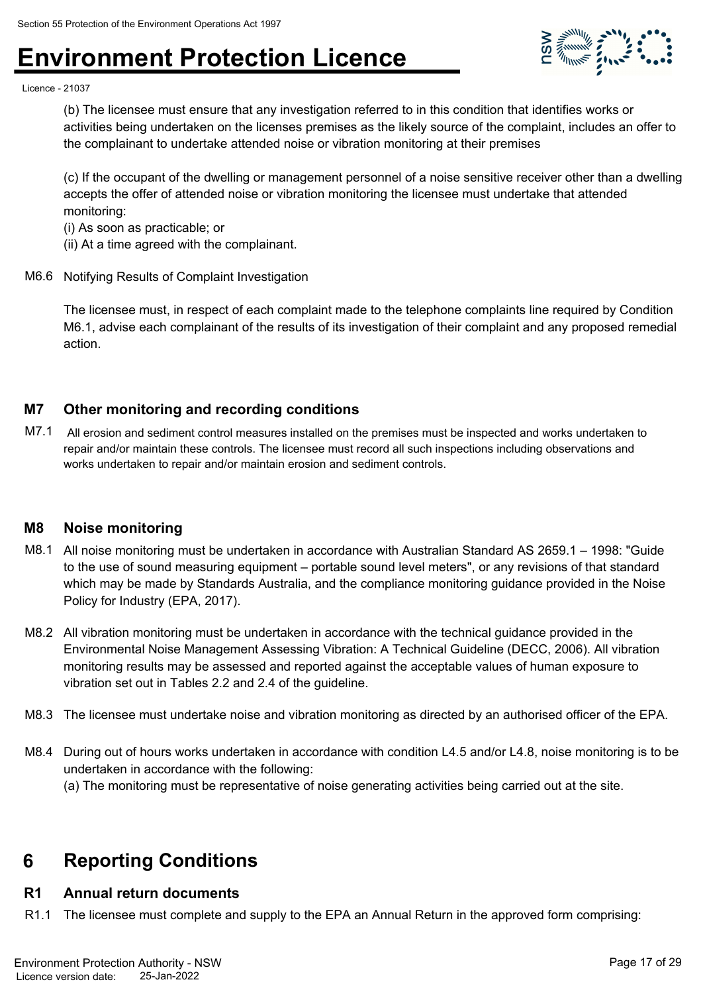

Licence - 21037

(b) The licensee must ensure that any investigation referred to in this condition that identifies works or activities being undertaken on the licenses premises as the likely source of the complaint, includes an offer to the complainant to undertake attended noise or vibration monitoring at their premises

(c) If the occupant of the dwelling or management personnel of a noise sensitive receiver other than a dwelling accepts the offer of attended noise or vibration monitoring the licensee must undertake that attended monitoring:

(i) As soon as practicable; or

- (ii) At a time agreed with the complainant.
- M6.6 Notifying Results of Complaint Investigation

The licensee must, in respect of each complaint made to the telephone complaints line required by Condition M6.1, advise each complainant of the results of its investigation of their complaint and any proposed remedial action.

#### **M7 Other monitoring and recording conditions**

M7.1 All erosion and sediment control measures installed on the premises must be inspected and works undertaken to repair and/or maintain these controls. The licensee must record all such inspections including observations and works undertaken to repair and/or maintain erosion and sediment controls.

#### **M8 Noise monitoring**

- M8.1 All noise monitoring must be undertaken in accordance with Australian Standard AS 2659.1 1998: "Guide to the use of sound measuring equipment – portable sound level meters", or any revisions of that standard which may be made by Standards Australia, and the compliance monitoring guidance provided in the Noise Policy for Industry (EPA, 2017).
- M8.2 All vibration monitoring must be undertaken in accordance with the technical guidance provided in the Environmental Noise Management Assessing Vibration: A Technical Guideline (DECC, 2006). All vibration monitoring results may be assessed and reported against the acceptable values of human exposure to vibration set out in Tables 2.2 and 2.4 of the guideline.
- M8.3 The licensee must undertake noise and vibration monitoring as directed by an authorised officer of the EPA.
- M8.4 During out of hours works undertaken in accordance with condition L4.5 and/or L4.8, noise monitoring is to be undertaken in accordance with the following: (a) The monitoring must be representative of noise generating activities being carried out at the site.

### **6 Reporting Conditions**

#### **R1 Annual return documents**

R1.1 The licensee must complete and supply to the EPA an Annual Return in the approved form comprising: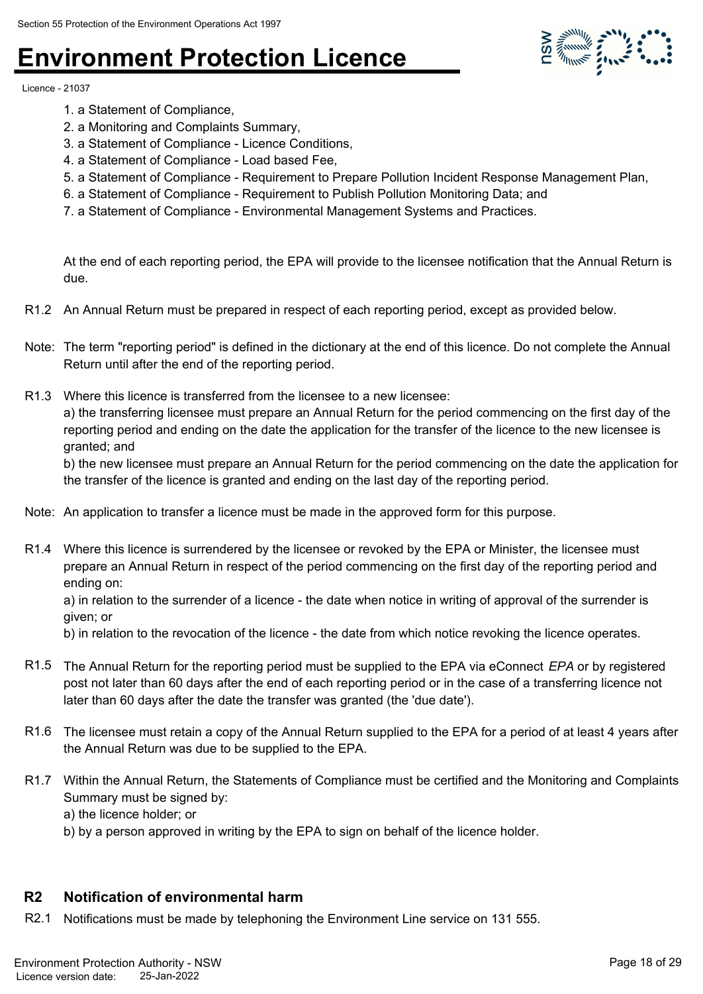Licence - 21037

- 1. a Statement of Compliance,
- 2. a Monitoring and Complaints Summary,
- 3. a Statement of Compliance Licence Conditions,
- 4. a Statement of Compliance Load based Fee,
- 5. a Statement of Compliance Requirement to Prepare Pollution Incident Response Management Plan,
- 6. a Statement of Compliance Requirement to Publish Pollution Monitoring Data; and
- 7. a Statement of Compliance Environmental Management Systems and Practices.

At the end of each reporting period, the EPA will provide to the licensee notification that the Annual Return is due.

- R1.2 An Annual Return must be prepared in respect of each reporting period, except as provided below.
- Note: The term "reporting period" is defined in the dictionary at the end of this licence. Do not complete the Annual Return until after the end of the reporting period.
- R1.3 Where this licence is transferred from the licensee to a new licensee: a) the transferring licensee must prepare an Annual Return for the period commencing on the first day of the reporting period and ending on the date the application for the transfer of the licence to the new licensee is granted; and

b) the new licensee must prepare an Annual Return for the period commencing on the date the application for the transfer of the licence is granted and ending on the last day of the reporting period.

- Note: An application to transfer a licence must be made in the approved form for this purpose.
- R1.4 Where this licence is surrendered by the licensee or revoked by the EPA or Minister, the licensee must prepare an Annual Return in respect of the period commencing on the first day of the reporting period and ending on:

a) in relation to the surrender of a licence - the date when notice in writing of approval of the surrender is given; or

b) in relation to the revocation of the licence - the date from which notice revoking the licence operates.

- R1.5 The Annual Return for the reporting period must be supplied to the EPA via eConnect *EPA* or by registered post not later than 60 days after the end of each reporting period or in the case of a transferring licence not later than 60 days after the date the transfer was granted (the 'due date').
- R1.6 The licensee must retain a copy of the Annual Return supplied to the EPA for a period of at least 4 years after the Annual Return was due to be supplied to the EPA.
- R1.7 Within the Annual Return, the Statements of Compliance must be certified and the Monitoring and Complaints Summary must be signed by:

a) the licence holder; or

b) by a person approved in writing by the EPA to sign on behalf of the licence holder.

#### **R2 Notification of environmental harm**

R2.1 Notifications must be made by telephoning the Environment Line service on 131 555.

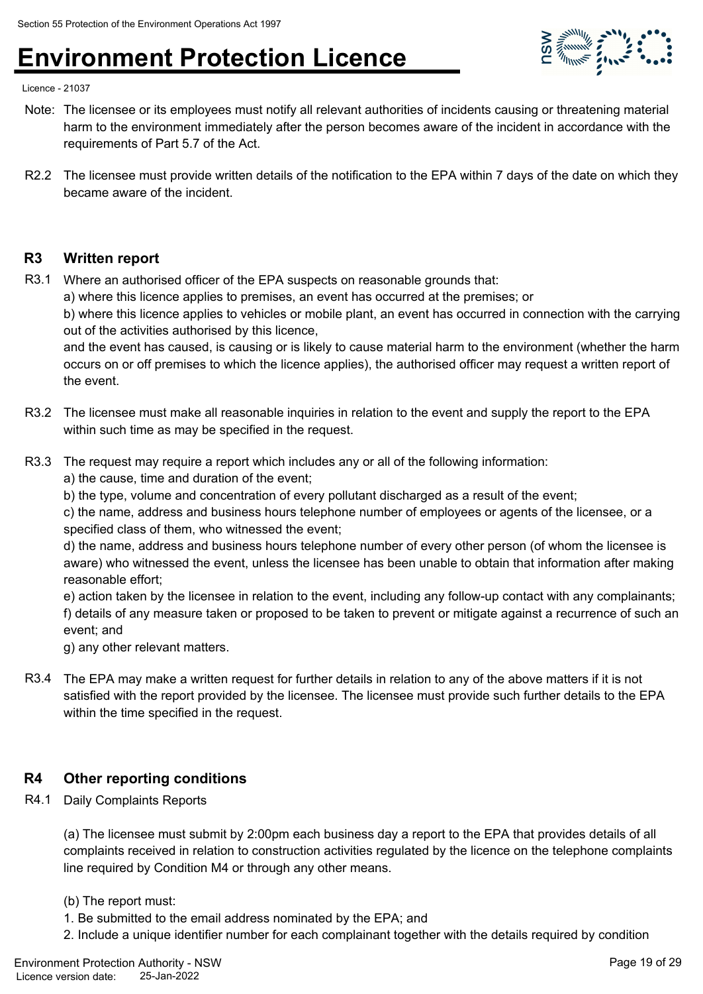

Licence - 21037

- Note: The licensee or its employees must notify all relevant authorities of incidents causing or threatening material harm to the environment immediately after the person becomes aware of the incident in accordance with the requirements of Part 5.7 of the Act.
- R2.2 The licensee must provide written details of the notification to the EPA within 7 days of the date on which they became aware of the incident.

#### **R3 Written report**

R3.1 Where an authorised officer of the EPA suspects on reasonable grounds that:

a) where this licence applies to premises, an event has occurred at the premises; or

b) where this licence applies to vehicles or mobile plant, an event has occurred in connection with the carrying out of the activities authorised by this licence,

and the event has caused, is causing or is likely to cause material harm to the environment (whether the harm occurs on or off premises to which the licence applies), the authorised officer may request a written report of the event.

- R3.2 The licensee must make all reasonable inquiries in relation to the event and supply the report to the EPA within such time as may be specified in the request.
- R3.3 The request may require a report which includes any or all of the following information:

a) the cause, time and duration of the event;

b) the type, volume and concentration of every pollutant discharged as a result of the event;

c) the name, address and business hours telephone number of employees or agents of the licensee, or a specified class of them, who witnessed the event;

d) the name, address and business hours telephone number of every other person (of whom the licensee is aware) who witnessed the event, unless the licensee has been unable to obtain that information after making reasonable effort;

e) action taken by the licensee in relation to the event, including any follow-up contact with any complainants; f) details of any measure taken or proposed to be taken to prevent or mitigate against a recurrence of such an event; and

g) any other relevant matters.

R3.4 The EPA may make a written request for further details in relation to any of the above matters if it is not satisfied with the report provided by the licensee. The licensee must provide such further details to the EPA within the time specified in the request.

#### **R4 Other reporting conditions**

R4.1 Daily Complaints Reports

(a) The licensee must submit by 2:00pm each business day a report to the EPA that provides details of all complaints received in relation to construction activities regulated by the licence on the telephone complaints line required by Condition M4 or through any other means.

#### (b) The report must:

- 1. Be submitted to the email address nominated by the EPA; and
- 2. Include a unique identifier number for each complainant together with the details required by condition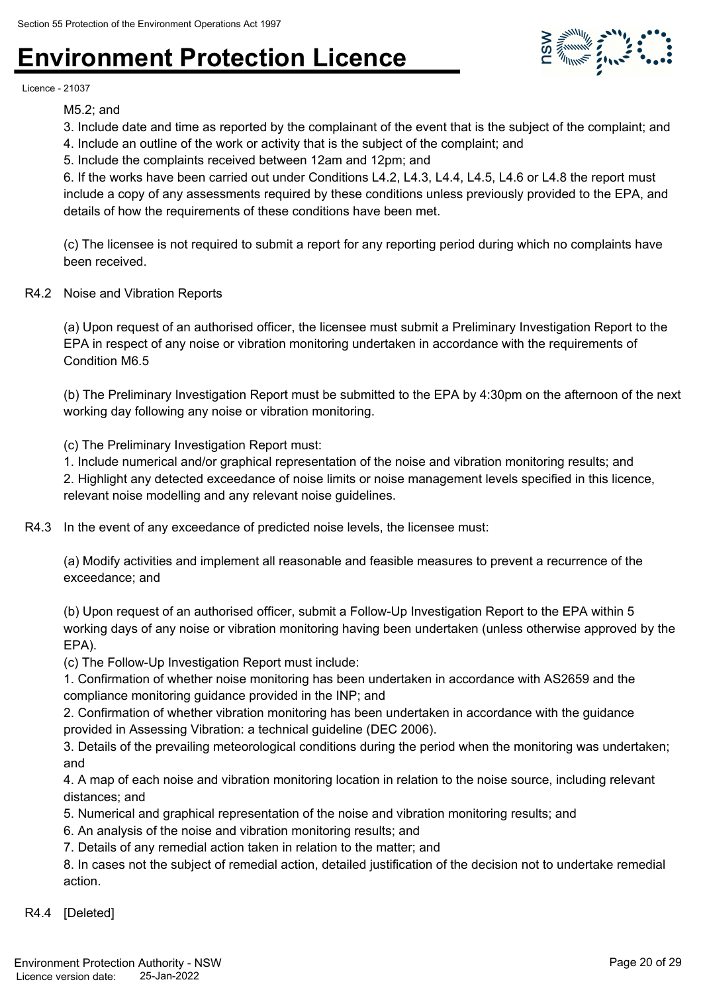

Licence - 21037

M5.2; and

- 3. Include date and time as reported by the complainant of the event that is the subject of the complaint; and
- 4. Include an outline of the work or activity that is the subject of the complaint; and
- 5. Include the complaints received between 12am and 12pm; and

6. If the works have been carried out under Conditions L4.2, L4.3, L4.4, L4.5, L4.6 or L4.8 the report must include a copy of any assessments required by these conditions unless previously provided to the EPA, and details of how the requirements of these conditions have been met.

(c) The licensee is not required to submit a report for any reporting period during which no complaints have been received.

R4.2 Noise and Vibration Reports

(a) Upon request of an authorised officer, the licensee must submit a Preliminary Investigation Report to the EPA in respect of any noise or vibration monitoring undertaken in accordance with the requirements of Condition M6.5

(b) The Preliminary Investigation Report must be submitted to the EPA by 4:30pm on the afternoon of the next working day following any noise or vibration monitoring.

(c) The Preliminary Investigation Report must:

1. Include numerical and/or graphical representation of the noise and vibration monitoring results; and 2. Highlight any detected exceedance of noise limits or noise management levels specified in this licence, relevant noise modelling and any relevant noise guidelines.

R4.3 In the event of any exceedance of predicted noise levels, the licensee must:

(a) Modify activities and implement all reasonable and feasible measures to prevent a recurrence of the exceedance; and

(b) Upon request of an authorised officer, submit a Follow-Up Investigation Report to the EPA within 5 working days of any noise or vibration monitoring having been undertaken (unless otherwise approved by the EPA).

(c) The Follow-Up Investigation Report must include:

1. Confirmation of whether noise monitoring has been undertaken in accordance with AS2659 and the compliance monitoring guidance provided in the INP; and

2. Confirmation of whether vibration monitoring has been undertaken in accordance with the guidance provided in Assessing Vibration: a technical guideline (DEC 2006).

3. Details of the prevailing meteorological conditions during the period when the monitoring was undertaken; and

4. A map of each noise and vibration monitoring location in relation to the noise source, including relevant distances; and

- 5. Numerical and graphical representation of the noise and vibration monitoring results; and
- 6. An analysis of the noise and vibration monitoring results; and
- 7. Details of any remedial action taken in relation to the matter; and

8. In cases not the subject of remedial action, detailed justification of the decision not to undertake remedial action.

R4.4 [Deleted]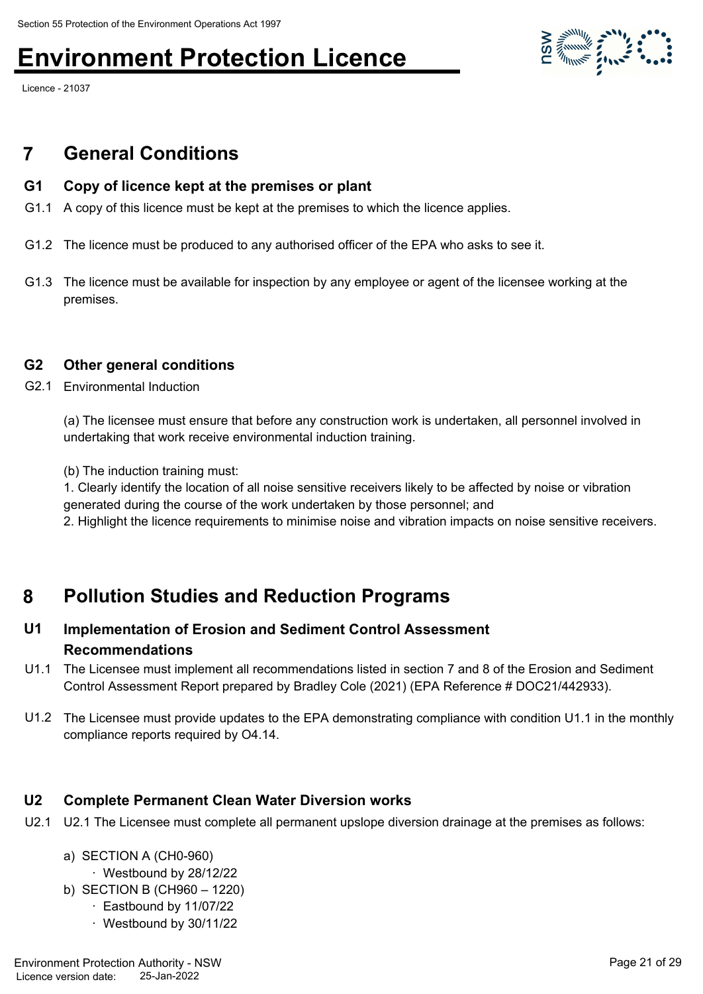Licence - 21037

### **7 General Conditions**

#### **G1 Copy of licence kept at the premises or plant**

- G1.1 A copy of this licence must be kept at the premises to which the licence applies.
- G1.2 The licence must be produced to any authorised officer of the EPA who asks to see it.
- G1.3 The licence must be available for inspection by any employee or agent of the licensee working at the premises.

#### **G2 Other general conditions**

G2.1 Environmental Induction

(a) The licensee must ensure that before any construction work is undertaken, all personnel involved in undertaking that work receive environmental induction training.

(b) The induction training must:

1. Clearly identify the location of all noise sensitive receivers likely to be affected by noise or vibration generated during the course of the work undertaken by those personnel; and

2. Highlight the licence requirements to minimise noise and vibration impacts on noise sensitive receivers.

### **8 Pollution Studies and Reduction Programs**

#### **Implementation of Erosion and Sediment Control Assessment Recommendations U1**

- U1.1 The Licensee must implement all recommendations listed in section 7 and 8 of the Erosion and Sediment Control Assessment Report prepared by Bradley Cole (2021) (EPA Reference # DOC21/442933).
- U1.2 The Licensee must provide updates to the EPA demonstrating compliance with condition U1.1 in the monthly compliance reports required by O4.14.

#### **U2 Complete Permanent Clean Water Diversion works**

U2.1 U2.1 The Licensee must complete all permanent upslope diversion drainage at the premises as follows:

### a) SECTION A (CH0-960)

- · Westbound by 28/12/22
- b) SECTION B (CH960 1220)
	- · Eastbound by 11/07/22
	- · Westbound by 30/11/22

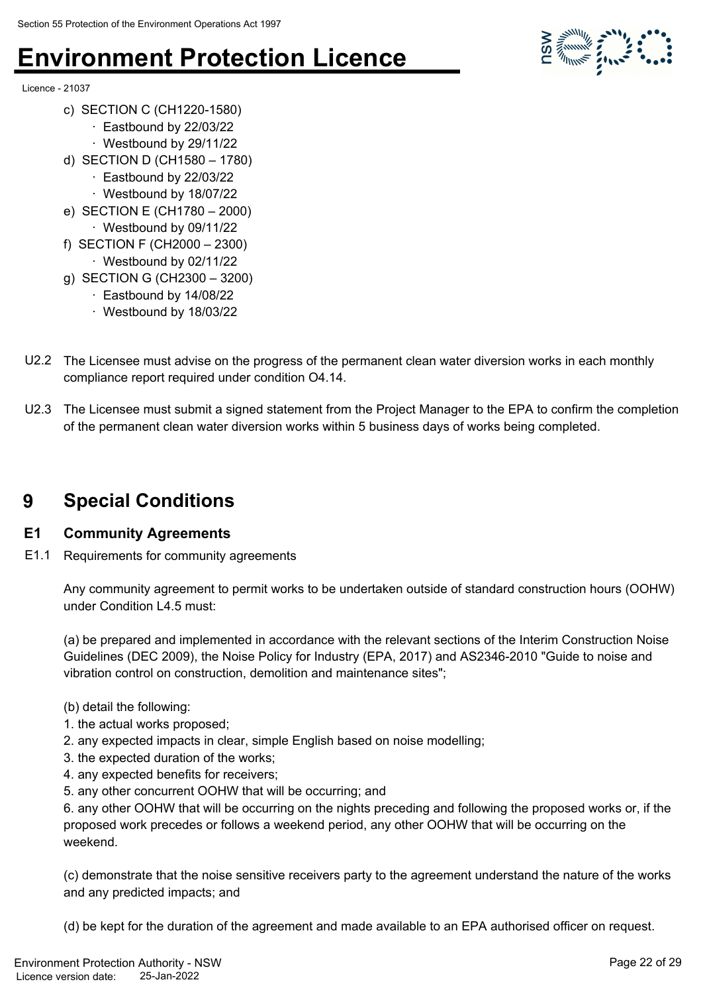

- Licence 21037
	- c) SECTION C (CH1220-1580)
		- · Eastbound by 22/03/22
		- · Westbound by 29/11/22
	- d) SECTION D (CH1580 1780)
		- · Eastbound by 22/03/22
		- · Westbound by 18/07/22
	- e) SECTION E (CH1780 2000) · Westbound by 09/11/22
	- f) SECTION F (CH2000 2300)
		- · Westbound by 02/11/22
	- g) SECTION G (CH2300 3200)
		- · Eastbound by 14/08/22
		- · Westbound by 18/03/22
- U2.2 The Licensee must advise on the progress of the permanent clean water diversion works in each monthly compliance report required under condition O4.14.
- U2.3 The Licensee must submit a signed statement from the Project Manager to the EPA to confirm the completion of the permanent clean water diversion works within 5 business days of works being completed.

### **9 Special Conditions**

#### **E1 Community Agreements**

E1.1 Requirements for community agreements

Any community agreement to permit works to be undertaken outside of standard construction hours (OOHW) under Condition L4.5 must:

(a) be prepared and implemented in accordance with the relevant sections of the Interim Construction Noise Guidelines (DEC 2009), the Noise Policy for Industry (EPA, 2017) and AS2346-2010 "Guide to noise and vibration control on construction, demolition and maintenance sites";

- (b) detail the following:
- 1. the actual works proposed;
- 2. any expected impacts in clear, simple English based on noise modelling;
- 3. the expected duration of the works;
- 4. any expected benefits for receivers;
- 5. any other concurrent OOHW that will be occurring; and

6. any other OOHW that will be occurring on the nights preceding and following the proposed works or, if the proposed work precedes or follows a weekend period, any other OOHW that will be occurring on the weekend.

(c) demonstrate that the noise sensitive receivers party to the agreement understand the nature of the works and any predicted impacts; and

(d) be kept for the duration of the agreement and made available to an EPA authorised officer on request.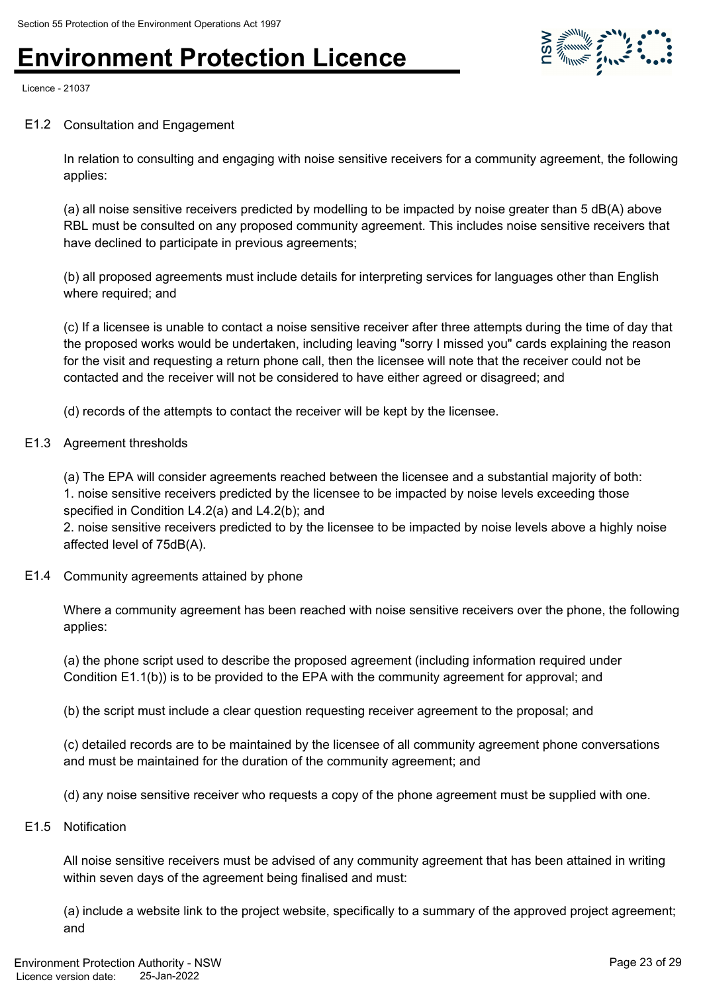

Licence - 21037

#### E1.2 Consultation and Engagement

In relation to consulting and engaging with noise sensitive receivers for a community agreement, the following applies:

(a) all noise sensitive receivers predicted by modelling to be impacted by noise greater than 5 dB(A) above RBL must be consulted on any proposed community agreement. This includes noise sensitive receivers that have declined to participate in previous agreements;

(b) all proposed agreements must include details for interpreting services for languages other than English where required; and

(c) If a licensee is unable to contact a noise sensitive receiver after three attempts during the time of day that the proposed works would be undertaken, including leaving "sorry I missed you" cards explaining the reason for the visit and requesting a return phone call, then the licensee will note that the receiver could not be contacted and the receiver will not be considered to have either agreed or disagreed; and

(d) records of the attempts to contact the receiver will be kept by the licensee.

#### E1.3 Agreement thresholds

(a) The EPA will consider agreements reached between the licensee and a substantial majority of both: 1. noise sensitive receivers predicted by the licensee to be impacted by noise levels exceeding those specified in Condition L4.2(a) and L4.2(b); and

2. noise sensitive receivers predicted to by the licensee to be impacted by noise levels above a highly noise affected level of 75dB(A).

E1.4 Community agreements attained by phone

Where a community agreement has been reached with noise sensitive receivers over the phone, the following applies:

(a) the phone script used to describe the proposed agreement (including information required under Condition E1.1(b)) is to be provided to the EPA with the community agreement for approval; and

(b) the script must include a clear question requesting receiver agreement to the proposal; and

(c) detailed records are to be maintained by the licensee of all community agreement phone conversations and must be maintained for the duration of the community agreement; and

(d) any noise sensitive receiver who requests a copy of the phone agreement must be supplied with one.

E1.5 Notification

All noise sensitive receivers must be advised of any community agreement that has been attained in writing within seven days of the agreement being finalised and must:

(a) include a website link to the project website, specifically to a summary of the approved project agreement; and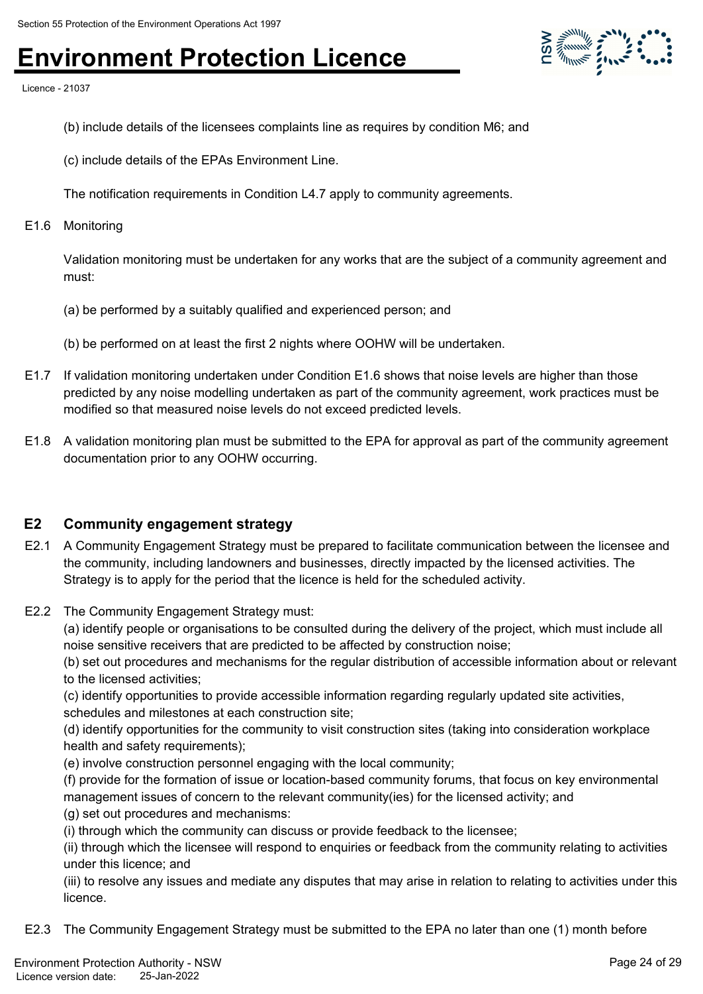

Licence - 21037

- (b) include details of the licensees complaints line as requires by condition M6; and
- (c) include details of the EPAs Environment Line.
- The notification requirements in Condition L4.7 apply to community agreements.
- E1.6 Monitoring

Validation monitoring must be undertaken for any works that are the subject of a community agreement and must:

- (a) be performed by a suitably qualified and experienced person; and
- (b) be performed on at least the first 2 nights where OOHW will be undertaken.
- E1.7 If validation monitoring undertaken under Condition E1.6 shows that noise levels are higher than those predicted by any noise modelling undertaken as part of the community agreement, work practices must be modified so that measured noise levels do not exceed predicted levels.
- E1.8 A validation monitoring plan must be submitted to the EPA for approval as part of the community agreement documentation prior to any OOHW occurring.

#### **E2 Community engagement strategy**

- E2.1 A Community Engagement Strategy must be prepared to facilitate communication between the licensee and the community, including landowners and businesses, directly impacted by the licensed activities. The Strategy is to apply for the period that the licence is held for the scheduled activity.
- E2.2 The Community Engagement Strategy must:

(a) identify people or organisations to be consulted during the delivery of the project, which must include all noise sensitive receivers that are predicted to be affected by construction noise;

(b) set out procedures and mechanisms for the regular distribution of accessible information about or relevant to the licensed activities;

(c) identify opportunities to provide accessible information regarding regularly updated site activities, schedules and milestones at each construction site;

(d) identify opportunities for the community to visit construction sites (taking into consideration workplace health and safety requirements);

(e) involve construction personnel engaging with the local community;

(f) provide for the formation of issue or location-based community forums, that focus on key environmental management issues of concern to the relevant community(ies) for the licensed activity; and

- (g) set out procedures and mechanisms:
- (i) through which the community can discuss or provide feedback to the licensee;

(ii) through which the licensee will respond to enquiries or feedback from the community relating to activities under this licence; and

(iii) to resolve any issues and mediate any disputes that may arise in relation to relating to activities under this licence.

E2.3 The Community Engagement Strategy must be submitted to the EPA no later than one (1) month before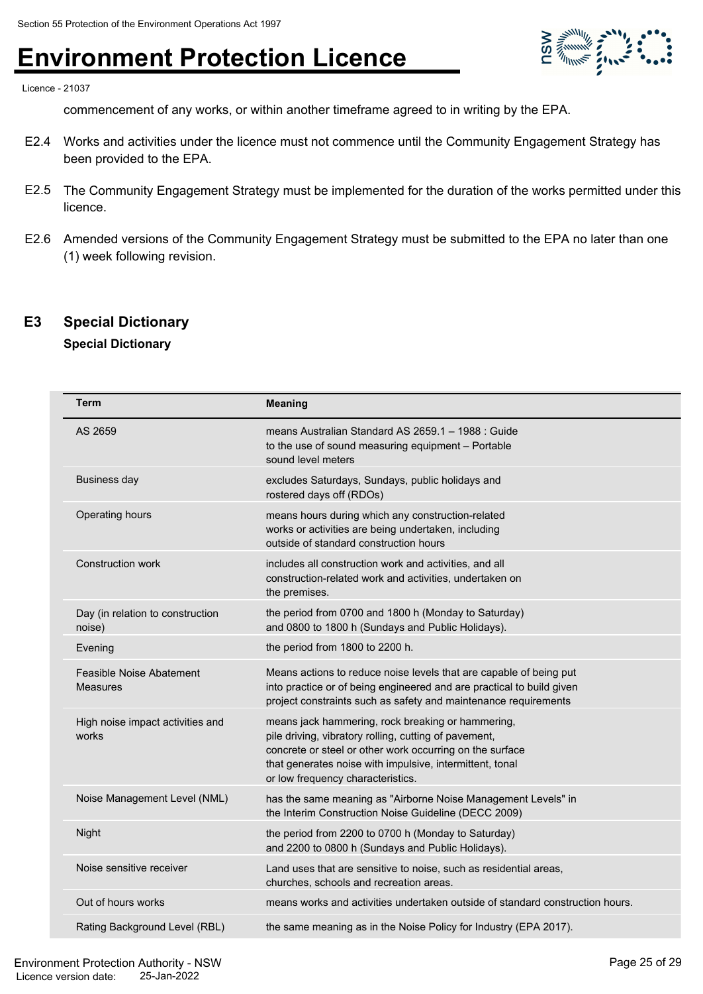

Licence - 21037

commencement of any works, or within another timeframe agreed to in writing by the EPA.

- E2.4 Works and activities under the licence must not commence until the Community Engagement Strategy has been provided to the EPA.
- E2.5 The Community Engagement Strategy must be implemented for the duration of the works permitted under this licence.
- E2.6 Amended versions of the Community Engagement Strategy must be submitted to the EPA no later than one (1) week following revision.

#### **E3 Special Dictionary**

#### **Special Dictionary**

| Term                                        | <b>Meaning</b>                                                                                                                                                                                                                                                          |
|---------------------------------------------|-------------------------------------------------------------------------------------------------------------------------------------------------------------------------------------------------------------------------------------------------------------------------|
| AS 2659                                     | means Australian Standard AS 2659.1 - 1988 : Guide<br>to the use of sound measuring equipment - Portable<br>sound level meters                                                                                                                                          |
| <b>Business day</b>                         | excludes Saturdays, Sundays, public holidays and<br>rostered days off (RDOs)                                                                                                                                                                                            |
| Operating hours                             | means hours during which any construction-related<br>works or activities are being undertaken, including<br>outside of standard construction hours                                                                                                                      |
| <b>Construction work</b>                    | includes all construction work and activities, and all<br>construction-related work and activities, undertaken on<br>the premises.                                                                                                                                      |
| Day (in relation to construction<br>noise)  | the period from 0700 and 1800 h (Monday to Saturday)<br>and 0800 to 1800 h (Sundays and Public Holidays).                                                                                                                                                               |
| Evening                                     | the period from 1800 to 2200 h.                                                                                                                                                                                                                                         |
| Feasible Noise Abatement<br><b>Measures</b> | Means actions to reduce noise levels that are capable of being put<br>into practice or of being engineered and are practical to build given<br>project constraints such as safety and maintenance requirements                                                          |
| High noise impact activities and<br>works   | means jack hammering, rock breaking or hammering,<br>pile driving, vibratory rolling, cutting of pavement,<br>concrete or steel or other work occurring on the surface<br>that generates noise with impulsive, intermittent, tonal<br>or low frequency characteristics. |
| Noise Management Level (NML)                | has the same meaning as "Airborne Noise Management Levels" in<br>the Interim Construction Noise Guideline (DECC 2009)                                                                                                                                                   |
| Night                                       | the period from 2200 to 0700 h (Monday to Saturday)<br>and 2200 to 0800 h (Sundays and Public Holidays).                                                                                                                                                                |
| Noise sensitive receiver                    | Land uses that are sensitive to noise, such as residential areas,<br>churches, schools and recreation areas.                                                                                                                                                            |
| Out of hours works                          | means works and activities undertaken outside of standard construction hours.                                                                                                                                                                                           |
| Rating Background Level (RBL)               | the same meaning as in the Noise Policy for Industry (EPA 2017).                                                                                                                                                                                                        |
|                                             |                                                                                                                                                                                                                                                                         |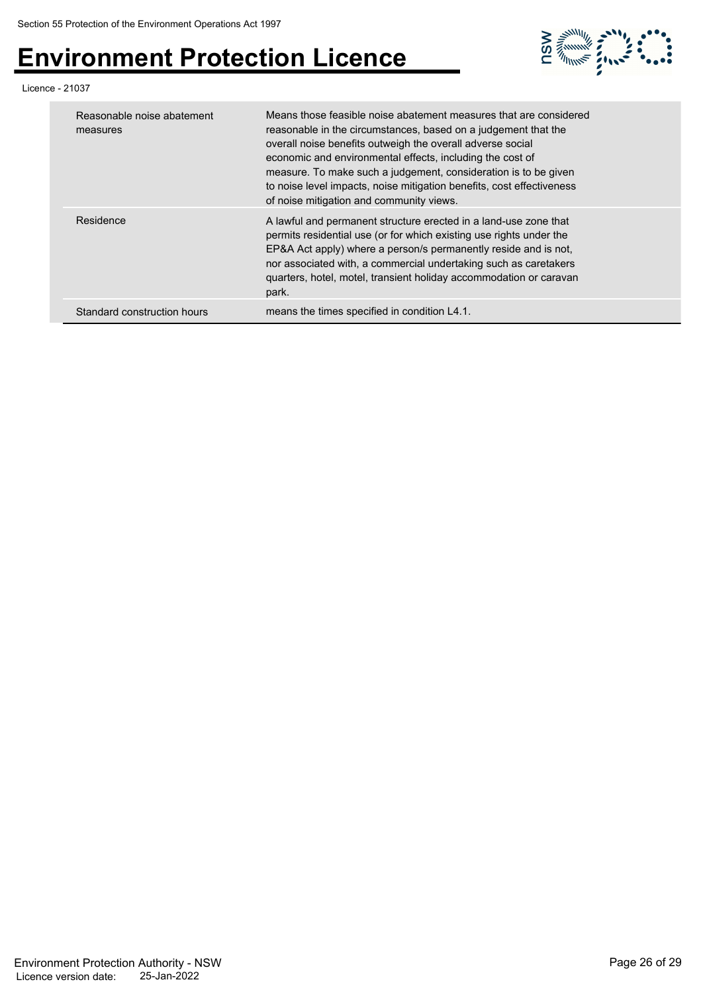

#### Licence - 21037

| Reasonable noise abatement<br>measures | Means those feasible noise abatement measures that are considered<br>reasonable in the circumstances, based on a judgement that the<br>overall noise benefits outweigh the overall adverse social<br>economic and environmental effects, including the cost of<br>measure. To make such a judgement, consideration is to be given<br>to noise level impacts, noise mitigation benefits, cost effectiveness<br>of noise mitigation and community views. |
|----------------------------------------|--------------------------------------------------------------------------------------------------------------------------------------------------------------------------------------------------------------------------------------------------------------------------------------------------------------------------------------------------------------------------------------------------------------------------------------------------------|
| Residence                              | A lawful and permanent structure erected in a land-use zone that<br>permits residential use (or for which existing use rights under the<br>EP&A Act apply) where a person/s permanently reside and is not,<br>nor associated with, a commercial undertaking such as caretakers<br>quarters, hotel, motel, transient holiday accommodation or caravan<br>park.                                                                                          |
| Standard construction hours            | means the times specified in condition L4.1.                                                                                                                                                                                                                                                                                                                                                                                                           |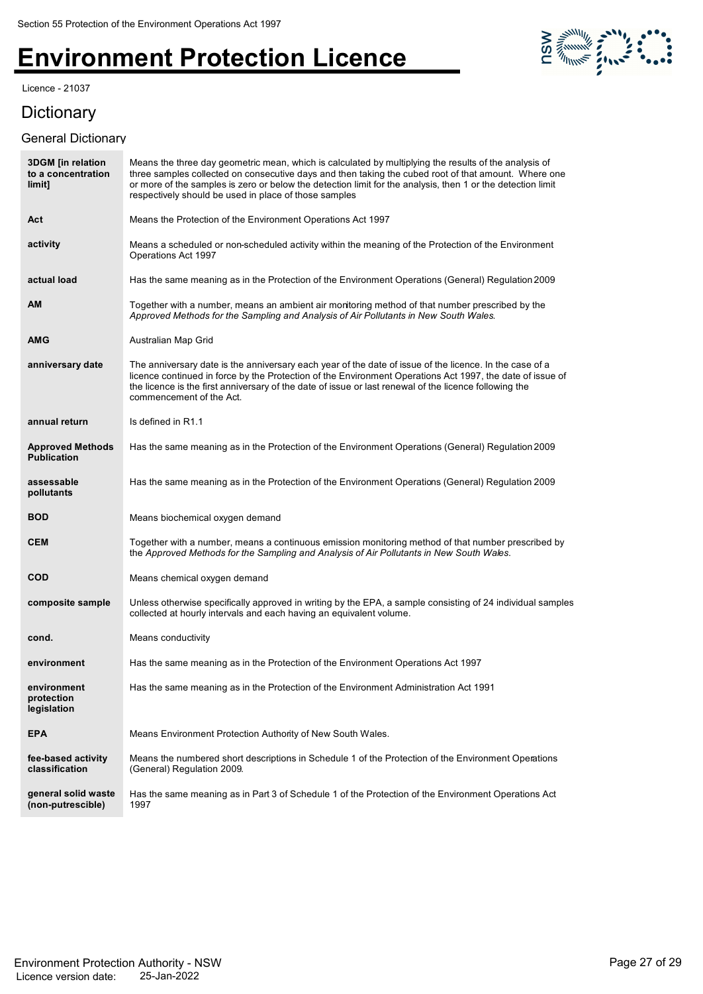Licence - 21037

# 

### **Dictionary**

#### General Dictionary

| <b>3DGM</b> [in relation<br>to a concentration<br>limit] | Means the three day geometric mean, which is calculated by multiplying the results of the analysis of<br>three samples collected on consecutive days and then taking the cubed root of that amount. Where one<br>or more of the samples is zero or below the detection limit for the analysis, then 1 or the detection limit<br>respectively should be used in place of those samples |
|----------------------------------------------------------|---------------------------------------------------------------------------------------------------------------------------------------------------------------------------------------------------------------------------------------------------------------------------------------------------------------------------------------------------------------------------------------|
| Act                                                      | Means the Protection of the Environment Operations Act 1997                                                                                                                                                                                                                                                                                                                           |
| activity                                                 | Means a scheduled or non-scheduled activity within the meaning of the Protection of the Environment<br>Operations Act 1997                                                                                                                                                                                                                                                            |
| actual load                                              | Has the same meaning as in the Protection of the Environment Operations (General) Regulation 2009                                                                                                                                                                                                                                                                                     |
| AM                                                       | Together with a number, means an ambient air monitoring method of that number prescribed by the<br>Approved Methods for the Sampling and Analysis of Air Pollutants in New South Wales.                                                                                                                                                                                               |
| <b>AMG</b>                                               | Australian Map Grid                                                                                                                                                                                                                                                                                                                                                                   |
| anniversary date                                         | The anniversary date is the anniversary each year of the date of issue of the licence. In the case of a<br>licence continued in force by the Protection of the Environment Operations Act 1997, the date of issue of<br>the licence is the first anniversary of the date of issue or last renewal of the licence following the<br>commencement of the Act.                            |
| annual return                                            | Is defined in R1.1                                                                                                                                                                                                                                                                                                                                                                    |
| <b>Approved Methods</b><br><b>Publication</b>            | Has the same meaning as in the Protection of the Environment Operations (General) Regulation 2009                                                                                                                                                                                                                                                                                     |
| assessable<br>pollutants                                 | Has the same meaning as in the Protection of the Environment Operations (General) Regulation 2009                                                                                                                                                                                                                                                                                     |
| <b>BOD</b>                                               | Means biochemical oxygen demand                                                                                                                                                                                                                                                                                                                                                       |
| <b>CEM</b>                                               | Together with a number, means a continuous emission monitoring method of that number prescribed by<br>the Approved Methods for the Sampling and Analysis of Air Pollutants in New South Wales.                                                                                                                                                                                        |
| <b>COD</b>                                               | Means chemical oxygen demand                                                                                                                                                                                                                                                                                                                                                          |
| composite sample                                         | Unless otherwise specifically approved in writing by the EPA, a sample consisting of 24 individual samples<br>collected at hourly intervals and each having an equivalent volume.                                                                                                                                                                                                     |
| cond.                                                    | Means conductivity                                                                                                                                                                                                                                                                                                                                                                    |
| environment                                              | Has the same meaning as in the Protection of the Environment Operations Act 1997                                                                                                                                                                                                                                                                                                      |
| environment<br>protection<br>legislation                 | Has the same meaning as in the Protection of the Environment Administration Act 1991                                                                                                                                                                                                                                                                                                  |
| <b>EPA</b>                                               | Means Environment Protection Authority of New South Wales.                                                                                                                                                                                                                                                                                                                            |
| fee-based activity<br>classification                     | Means the numbered short descriptions in Schedule 1 of the Protection of the Environment Operations<br>(General) Regulation 2009.                                                                                                                                                                                                                                                     |
| general solid waste<br>(non-putrescible)                 | Has the same meaning as in Part 3 of Schedule 1 of the Protection of the Environment Operations Act<br>1997                                                                                                                                                                                                                                                                           |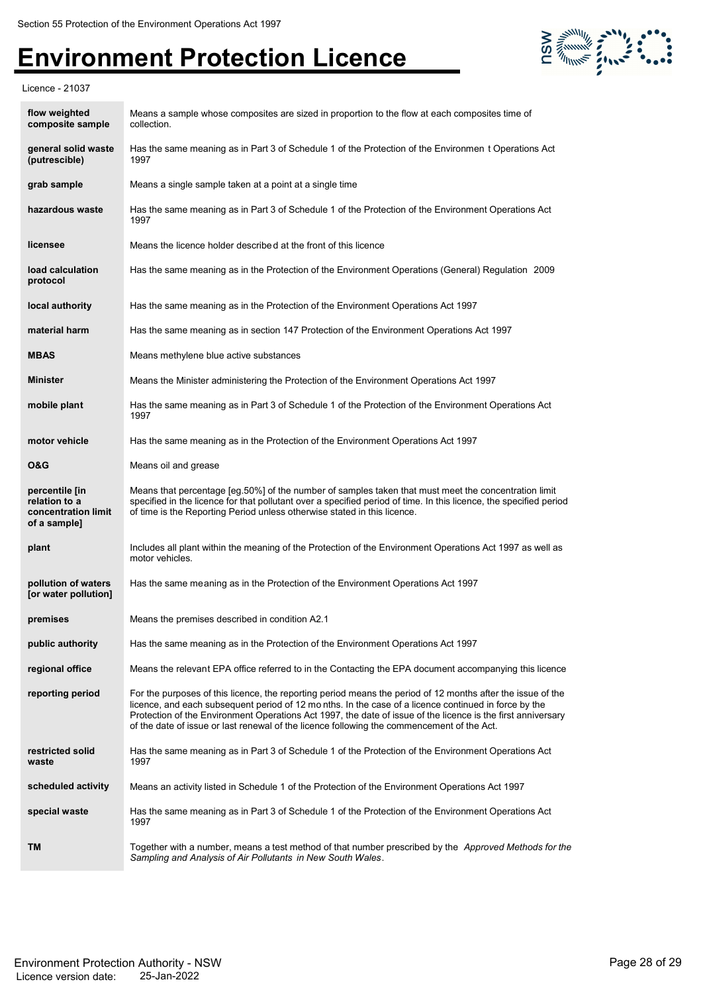

Licence - 21037

| flow weighted<br>composite sample                                      | Means a sample whose composites are sized in proportion to the flow at each composites time of<br>collection.                                                                                                                                                                                                                                                                                                                     |  |
|------------------------------------------------------------------------|-----------------------------------------------------------------------------------------------------------------------------------------------------------------------------------------------------------------------------------------------------------------------------------------------------------------------------------------------------------------------------------------------------------------------------------|--|
| general solid waste<br>(putrescible)                                   | Has the same meaning as in Part 3 of Schedule 1 of the Protection of the Environmen t Operations Act<br>1997                                                                                                                                                                                                                                                                                                                      |  |
| grab sample                                                            | Means a single sample taken at a point at a single time                                                                                                                                                                                                                                                                                                                                                                           |  |
| hazardous waste                                                        | Has the same meaning as in Part 3 of Schedule 1 of the Protection of the Environment Operations Act<br>1997                                                                                                                                                                                                                                                                                                                       |  |
| licensee                                                               | Means the licence holder described at the front of this licence                                                                                                                                                                                                                                                                                                                                                                   |  |
| load calculation<br>protocol                                           | Has the same meaning as in the Protection of the Environment Operations (General) Regulation 2009                                                                                                                                                                                                                                                                                                                                 |  |
| local authority                                                        | Has the same meaning as in the Protection of the Environment Operations Act 1997                                                                                                                                                                                                                                                                                                                                                  |  |
| material harm                                                          | Has the same meaning as in section 147 Protection of the Environment Operations Act 1997                                                                                                                                                                                                                                                                                                                                          |  |
| <b>MBAS</b>                                                            | Means methylene blue active substances                                                                                                                                                                                                                                                                                                                                                                                            |  |
| <b>Minister</b>                                                        | Means the Minister administering the Protection of the Environment Operations Act 1997                                                                                                                                                                                                                                                                                                                                            |  |
| mobile plant                                                           | Has the same meaning as in Part 3 of Schedule 1 of the Protection of the Environment Operations Act<br>1997                                                                                                                                                                                                                                                                                                                       |  |
| motor vehicle                                                          | Has the same meaning as in the Protection of the Environment Operations Act 1997                                                                                                                                                                                                                                                                                                                                                  |  |
| <b>O&amp;G</b>                                                         | Means oil and grease                                                                                                                                                                                                                                                                                                                                                                                                              |  |
| percentile [in<br>relation to a<br>concentration limit<br>of a sample] | Means that percentage [eg.50%] of the number of samples taken that must meet the concentration limit<br>specified in the licence for that pollutant over a specified period of time. In this licence, the specified period<br>of time is the Reporting Period unless otherwise stated in this licence.                                                                                                                            |  |
| plant                                                                  | Includes all plant within the meaning of the Protection of the Environment Operations Act 1997 as well as<br>motor vehicles.                                                                                                                                                                                                                                                                                                      |  |
| pollution of waters<br>[or water pollution]                            | Has the same meaning as in the Protection of the Environment Operations Act 1997                                                                                                                                                                                                                                                                                                                                                  |  |
| premises                                                               | Means the premises described in condition A2.1                                                                                                                                                                                                                                                                                                                                                                                    |  |
| public authority                                                       | Has the same meaning as in the Protection of the Environment Operations Act 1997                                                                                                                                                                                                                                                                                                                                                  |  |
| regional office                                                        | Means the relevant EPA office referred to in the Contacting the EPA document accompanying this licence                                                                                                                                                                                                                                                                                                                            |  |
| reporting period                                                       | For the purposes of this licence, the reporting period means the period of 12 months after the issue of the<br>licence, and each subsequent period of 12 months. In the case of a licence continued in force by the<br>Protection of the Environment Operations Act 1997, the date of issue of the licence is the first anniversary<br>of the date of issue or last renewal of the licence following the commencement of the Act. |  |
| restricted solid<br>waste                                              | Has the same meaning as in Part 3 of Schedule 1 of the Protection of the Environment Operations Act<br>1997                                                                                                                                                                                                                                                                                                                       |  |
| scheduled activity                                                     | Means an activity listed in Schedule 1 of the Protection of the Environment Operations Act 1997                                                                                                                                                                                                                                                                                                                                   |  |
| special waste                                                          | Has the same meaning as in Part 3 of Schedule 1 of the Protection of the Environment Operations Act<br>1997                                                                                                                                                                                                                                                                                                                       |  |
| TM                                                                     | Together with a number, means a test method of that number prescribed by the <i>Approved Methods for the</i><br>Sampling and Analysis of Air Pollutants in New South Wales.                                                                                                                                                                                                                                                       |  |